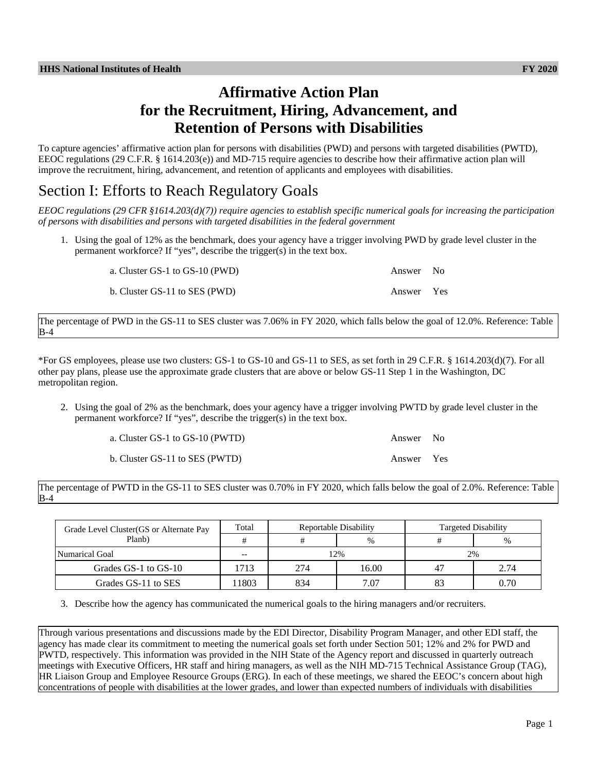# **Affirmative Action Plan for the Recruitment, Hiring, Advancement, and Retention of Persons with Disabilities**

To capture agencies' affirmative action plan for persons with disabilities (PWD) and persons with targeted disabilities (PWTD), EEOC regulations (29 C.F.R. § 1614.203(e)) and MD-715 require agencies to describe how their affirmative action plan will improve the recruitment, hiring, advancement, and retention of applicants and employees with disabilities.

## Section I: Efforts to Reach Regulatory Goals

*EEOC regulations (29 CFR §1614.203(d)(7)) require agencies to establish specific numerical goals for increasing the participation of persons with disabilities and persons with targeted disabilities in the federal government*

1. Using the goal of 12% as the benchmark, does your agency have a trigger involving PWD by grade level cluster in the permanent workforce? If "yes", describe the trigger(s) in the text box.

| a. Cluster GS-1 to GS-10 (PWD) | Answer No  |  |
|--------------------------------|------------|--|
| b. Cluster GS-11 to SES (PWD)  | Answer Yes |  |

The percentage of PWD in the GS-11 to SES cluster was 7.06% in FY 2020, which falls below the goal of 12.0%. Reference: Table B-4

\*For GS employees, please use two clusters: GS-1 to GS-10 and GS-11 to SES, as set forth in 29 C.F.R. § 1614.203(d)(7). For all other pay plans, please use the approximate grade clusters that are above or below GS-11 Step 1 in the Washington, DC metropolitan region.

2. Using the goal of 2% as the benchmark, does your agency have a trigger involving PWTD by grade level cluster in the permanent workforce? If "yes", describe the trigger(s) in the text box.

| a. Cluster GS-1 to GS-10 (PWTD) | Answer No  |  |
|---------------------------------|------------|--|
| b. Cluster GS-11 to SES (PWTD)  | Answer Yes |  |

The percentage of PWTD in the GS-11 to SES cluster was 0.70% in FY 2020, which falls below the goal of 2.0%. Reference: Table B-4

| Grade Level Cluster (GS or Alternate Pay | Total              |     | Reportable Disability | Targeted Disability |      |
|------------------------------------------|--------------------|-----|-----------------------|---------------------|------|
| Planb)                                   |                    |     | $\%$                  |                     | $\%$ |
| Numarical Goal                           | 12%<br>2%<br>$- -$ |     |                       |                     |      |
| Grades GS-1 to GS-10                     | 713                | 274 | 16.00                 | 4 <sup>7</sup>      | 2.74 |
| Grades GS-11 to SES                      | 1803               | 834 | 7.07                  | 83                  | 0.70 |

3. Describe how the agency has communicated the numerical goals to the hiring managers and/or recruiters.

Through various presentations and discussions made by the EDI Director, Disability Program Manager, and other EDI staff, the agency has made clear its commitment to meeting the numerical goals set forth under Section 501; 12% and 2% for PWD and PWTD, respectively. This information was provided in the NIH State of the Agency report and discussed in quarterly outreach meetings with Executive Officers, HR staff and hiring managers, as well as the NIH MD-715 Technical Assistance Group (TAG), HR Liaison Group and Employee Resource Groups (ERG). In each of these meetings, we shared the EEOC's concern about high concentrations of people with disabilities at the lower grades, and lower than expected numbers of individuals with disabilities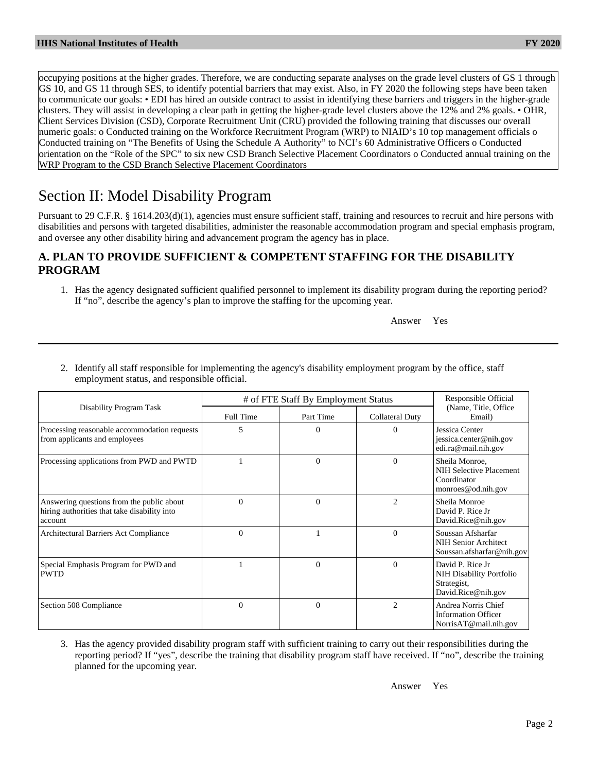occupying positions at the higher grades. Therefore, we are conducting separate analyses on the grade level clusters of GS 1 through GS 10, and GS 11 through SES, to identify potential barriers that may exist. Also, in FY 2020 the following steps have been taken to communicate our goals: • EDI has hired an outside contract to assist in identifying these barriers and triggers in the higher-grade clusters. They will assist in developing a clear path in getting the higher-grade level clusters above the 12% and 2% goals. • OHR, Client Services Division (CSD), Corporate Recruitment Unit (CRU) provided the following training that discusses our overall numeric goals: o Conducted training on the Workforce Recruitment Program (WRP) to NIAID's 10 top management officials o Conducted training on "The Benefits of Using the Schedule A Authority" to NCI's 60 Administrative Officers o Conducted orientation on the "Role of the SPC" to six new CSD Branch Selective Placement Coordinators o Conducted annual training on the WRP Program to the CSD Branch Selective Placement Coordinators

# Section II: Model Disability Program

Pursuant to 29 C.F.R. § 1614.203(d)(1), agencies must ensure sufficient staff, training and resources to recruit and hire persons with disabilities and persons with targeted disabilities, administer the reasonable accommodation program and special emphasis program, and oversee any other disability hiring and advancement program the agency has in place.

## **A. PLAN TO PROVIDE SUFFICIENT & COMPETENT STAFFING FOR THE DISABILITY PROGRAM**

1. Has the agency designated sufficient qualified personnel to implement its disability program during the reporting period? If "no", describe the agency's plan to improve the staffing for the upcoming year.

Answer Yes

2. Identify all staff responsible for implementing the agency's disability employment program by the office, staff employment status, and responsible official.

|                                                                                                      | # of FTE Staff By Employment Status |              |                 | Responsible Official<br>(Name, Title, Office)                                            |  |
|------------------------------------------------------------------------------------------------------|-------------------------------------|--------------|-----------------|------------------------------------------------------------------------------------------|--|
| Disability Program Task                                                                              | Full Time                           | Part Time    | Collateral Duty | Email)                                                                                   |  |
| Processing reasonable accommodation requests<br>from applicants and employees                        | 5                                   | $\Omega$     | 0               | Jessica Center<br>jessica.center@nih.gov<br>edi.ra@mail.nih.gov                          |  |
| Processing applications from PWD and PWTD                                                            |                                     | $\mathbf{0}$ | $\Omega$        | Sheila Monroe,<br>NIH Selective Placement<br>Coordinator<br>monroes@od.nih.gov           |  |
| Answering questions from the public about<br>hiring authorities that take disability into<br>account | $\Omega$                            | $\theta$     | $\overline{c}$  | Sheila Monroe<br>David P. Rice Jr.<br>David.Rice@nih.gov                                 |  |
| Architectural Barriers Act Compliance                                                                | $\Omega$                            |              | $\Omega$        | Soussan Afsharfar<br><b>NIH Senior Architect</b><br>Soussan.afsharfar@nih.gov            |  |
| Special Emphasis Program for PWD and<br><b>PWTD</b>                                                  |                                     | $\Omega$     | $\Omega$        | David P. Rice Jr<br><b>NIH Disability Portfolio</b><br>Strategist,<br>David.Rice@nih.gov |  |
| Section 508 Compliance                                                                               | $\Omega$                            | $\mathbf{0}$ | $\overline{c}$  | Andrea Norris Chief<br><b>Information Officer</b><br>NorrisAT@mail.nih.gov               |  |

3. Has the agency provided disability program staff with sufficient training to carry out their responsibilities during the reporting period? If "yes", describe the training that disability program staff have received. If "no", describe the training planned for the upcoming year.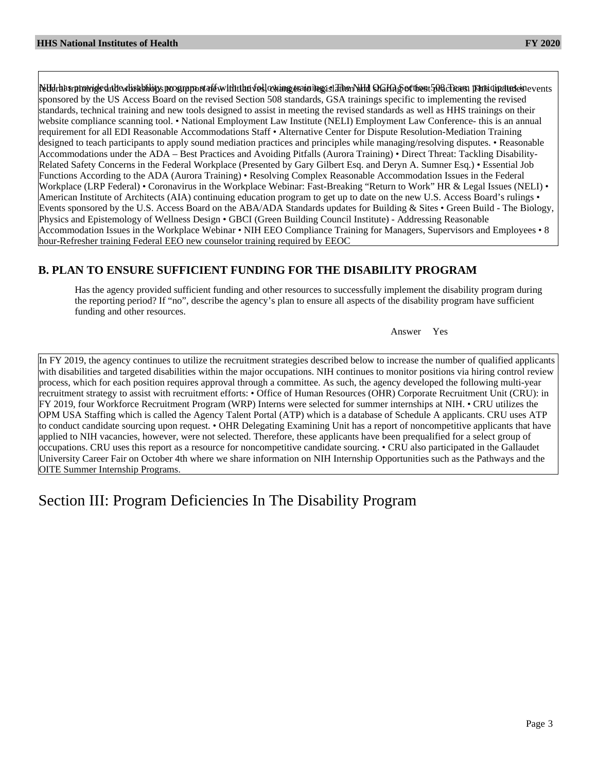NHHa has provided alte wisabilions prograpport aft with the veslowing examing is father MHJ MGHg & of then 1508 Cream participates events sponsored by the US Access Board on the revised Section 508 standards, GSA trainings specific to implementing the revised standards, technical training and new tools designed to assist in meeting the revised standards as well as HHS trainings on their website compliance scanning tool. • National Employment Law Institute (NELI) Employment Law Conference- this is an annual requirement for all EDI Reasonable Accommodations Staff • Alternative Center for Dispute Resolution-Mediation Training designed to teach participants to apply sound mediation practices and principles while managing/resolving disputes. • Reasonable Accommodations under the ADA – Best Practices and Avoiding Pitfalls (Aurora Training) • Direct Threat: Tackling Disability-Related Safety Concerns in the Federal Workplace (Presented by Gary Gilbert Esq. and Deryn A. Sumner Esq.) • Essential Job Functions According to the ADA (Aurora Training) • Resolving Complex Reasonable Accommodation Issues in the Federal Workplace (LRP Federal) • Coronavirus in the Workplace Webinar: Fast-Breaking "Return to Work" HR & Legal Issues (NELI) • American Institute of Architects (AIA) continuing education program to get up to date on the new U.S. Access Board's rulings • Events sponsored by the U.S. Access Board on the ABA/ADA Standards updates for Building & Sites • Green Build - The Biology, Physics and Epistemology of Wellness Design • GBCI (Green Building Council Institute) - Addressing Reasonable Accommodation Issues in the Workplace Webinar • NIH EEO Compliance Training for Managers, Supervisors and Employees • 8 hour-Refresher training Federal EEO new counselor training required by EEOC

## **B. PLAN TO ENSURE SUFFICIENT FUNDING FOR THE DISABILITY PROGRAM**

Has the agency provided sufficient funding and other resources to successfully implement the disability program during the reporting period? If "no", describe the agency's plan to ensure all aspects of the disability program have sufficient funding and other resources.

Answer Yes

In FY 2019, the agency continues to utilize the recruitment strategies described below to increase the number of qualified applicants with disabilities and targeted disabilities within the major occupations. NIH continues to monitor positions via hiring control review process, which for each position requires approval through a committee. As such, the agency developed the following multi-year recruitment strategy to assist with recruitment efforts: • Office of Human Resources (OHR) Corporate Recruitment Unit (CRU): in FY 2019, four Workforce Recruitment Program (WRP) Interns were selected for summer internships at NIH. • CRU utilizes the OPM USA Staffing which is called the Agency Talent Portal (ATP) which is a database of Schedule A applicants. CRU uses ATP to conduct candidate sourcing upon request. • OHR Delegating Examining Unit has a report of noncompetitive applicants that have applied to NIH vacancies, however, were not selected. Therefore, these applicants have been prequalified for a select group of occupations. CRU uses this report as a resource for noncompetitive candidate sourcing. • CRU also participated in the Gallaudet University Career Fair on October 4th where we share information on NIH Internship Opportunities such as the Pathways and the OITE Summer Internship Programs.

Section III: Program Deficiencies In The Disability Program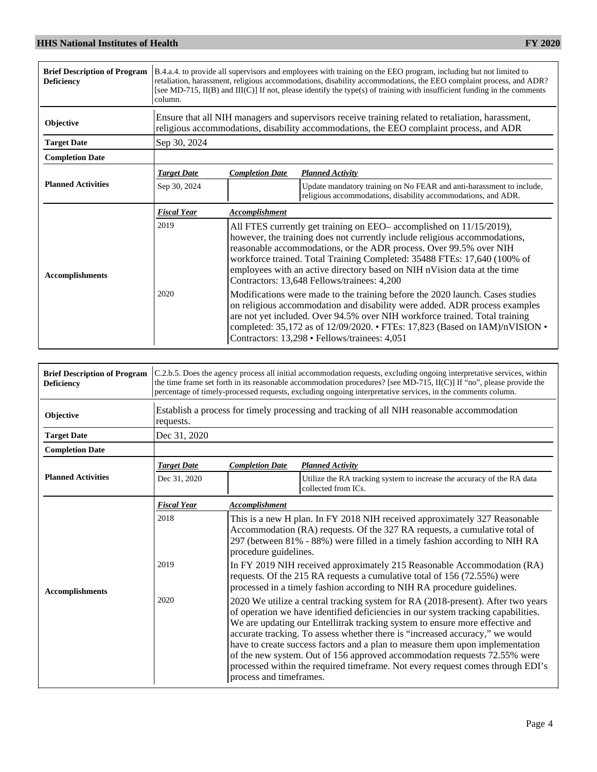| <b>Brief Description of Program</b><br><b>Deficiency</b> | column.            |                                                                                                                                                                                                                                                                                                                                                                                                                                 | B.4.a.4. to provide all supervisors and employees with training on the EEO program, including but not limited to<br>retaliation, harassment, religious accommodations, disability accommodations, the EEO complaint process, and ADR?<br>[see MD-715, II(B) and III(C)] If not, please identify the type(s) of training with insufficient funding in the comments |  |  |
|----------------------------------------------------------|--------------------|---------------------------------------------------------------------------------------------------------------------------------------------------------------------------------------------------------------------------------------------------------------------------------------------------------------------------------------------------------------------------------------------------------------------------------|-------------------------------------------------------------------------------------------------------------------------------------------------------------------------------------------------------------------------------------------------------------------------------------------------------------------------------------------------------------------|--|--|
| Objective                                                |                    | Ensure that all NIH managers and supervisors receive training related to retaliation, harassment,<br>religious accommodations, disability accommodations, the EEO complaint process, and ADR                                                                                                                                                                                                                                    |                                                                                                                                                                                                                                                                                                                                                                   |  |  |
| <b>Target Date</b>                                       | Sep 30, 2024       |                                                                                                                                                                                                                                                                                                                                                                                                                                 |                                                                                                                                                                                                                                                                                                                                                                   |  |  |
| <b>Completion Date</b>                                   |                    |                                                                                                                                                                                                                                                                                                                                                                                                                                 |                                                                                                                                                                                                                                                                                                                                                                   |  |  |
|                                                          | <b>Target Date</b> | <b>Completion Date</b>                                                                                                                                                                                                                                                                                                                                                                                                          | <b>Planned Activity</b>                                                                                                                                                                                                                                                                                                                                           |  |  |
| <b>Planned Activities</b>                                | Sep 30, 2024       |                                                                                                                                                                                                                                                                                                                                                                                                                                 | Update mandatory training on No FEAR and anti-harassment to include,<br>religious accommodations, disability accommodations, and ADR.                                                                                                                                                                                                                             |  |  |
|                                                          | <b>Fiscal Year</b> | Accomplishment                                                                                                                                                                                                                                                                                                                                                                                                                  |                                                                                                                                                                                                                                                                                                                                                                   |  |  |
| <b>Accomplishments</b>                                   | 2019               | All FTES currently get training on EEO– accomplished on 11/15/2019),<br>however, the training does not currently include religious accommodations,<br>reasonable accommodations, or the ADR process. Over 99.5% over NIH<br>workforce trained. Total Training Completed: 35488 FTEs: 17,640 (100% of<br>employees with an active directory based on NIH nVision data at the time<br>Contractors: 13,648 Fellows/trainees: 4,200 |                                                                                                                                                                                                                                                                                                                                                                   |  |  |
|                                                          | 2020               | Modifications were made to the training before the 2020 launch. Cases studies<br>on religious accommodation and disability were added. ADR process examples<br>are not yet included. Over 94.5% over NIH workforce trained. Total training<br>completed: 35,172 as of 12/09/2020. • FTEs: 17,823 (Based on IAM)/nVISION •<br>Contractors: 13,298 · Fellows/trainees: 4,051                                                      |                                                                                                                                                                                                                                                                                                                                                                   |  |  |

| <b>Brief Description of Program</b><br><b>Deficiency</b> |                    | C.2.b.5. Does the agency process all initial accommodation requests, excluding ongoing interpretative services, within<br>the time frame set forth in its reasonable accommodation procedures? [see MD-715, II(C)] If "no", please provide the<br>percentage of timely-processed requests, excluding ongoing interpretative services, in the comments column.                                                                                                                                                                                                                                                    |                                                                                               |  |  |
|----------------------------------------------------------|--------------------|------------------------------------------------------------------------------------------------------------------------------------------------------------------------------------------------------------------------------------------------------------------------------------------------------------------------------------------------------------------------------------------------------------------------------------------------------------------------------------------------------------------------------------------------------------------------------------------------------------------|-----------------------------------------------------------------------------------------------|--|--|
| Objective                                                | requests.          | Establish a process for timely processing and tracking of all NIH reasonable accommodation                                                                                                                                                                                                                                                                                                                                                                                                                                                                                                                       |                                                                                               |  |  |
| <b>Target Date</b>                                       | Dec 31, 2020       |                                                                                                                                                                                                                                                                                                                                                                                                                                                                                                                                                                                                                  |                                                                                               |  |  |
| <b>Completion Date</b>                                   |                    |                                                                                                                                                                                                                                                                                                                                                                                                                                                                                                                                                                                                                  |                                                                                               |  |  |
|                                                          | <b>Target Date</b> | <b>Completion Date</b>                                                                                                                                                                                                                                                                                                                                                                                                                                                                                                                                                                                           | <b>Planned Activity</b>                                                                       |  |  |
| <b>Planned Activities</b>                                | Dec 31, 2020       |                                                                                                                                                                                                                                                                                                                                                                                                                                                                                                                                                                                                                  | Utilize the RA tracking system to increase the accuracy of the RA data<br>collected from ICs. |  |  |
|                                                          | <b>Fiscal Year</b> | <b>Accomplishment</b>                                                                                                                                                                                                                                                                                                                                                                                                                                                                                                                                                                                            |                                                                                               |  |  |
| <b>Accomplishments</b>                                   | 2018               | This is a new H plan. In FY 2018 NIH received approximately 327 Reasonable<br>Accommodation (RA) requests. Of the 327 RA requests, a cumulative total of<br>297 (between 81% - 88%) were filled in a timely fashion according to NIH RA<br>procedure guidelines.                                                                                                                                                                                                                                                                                                                                                 |                                                                                               |  |  |
|                                                          | 2019               | In FY 2019 NIH received approximately 215 Reasonable Accommodation (RA)<br>requests. Of the 215 RA requests a cumulative total of 156 (72.55%) were<br>processed in a timely fashion according to NIH RA procedure guidelines.                                                                                                                                                                                                                                                                                                                                                                                   |                                                                                               |  |  |
|                                                          | 2020               | 2020 We utilize a central tracking system for RA (2018-present). After two years<br>of operation we have identified deficiencies in our system tracking capabilities.<br>We are updating our Entellitrak tracking system to ensure more effective and<br>accurate tracking. To assess whether there is "increased accuracy," we would<br>have to create success factors and a plan to measure them upon implementation<br>of the new system. Out of 156 approved accommodation requests 72.55% were<br>processed within the required timeframe. Not every request comes through EDI's<br>process and timeframes. |                                                                                               |  |  |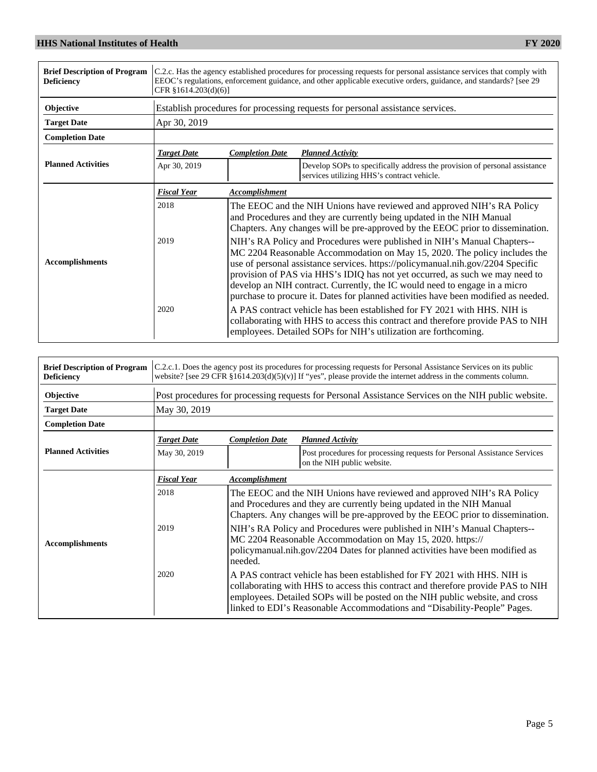| <b>Brief Description of Program</b><br><b>Deficiency</b> | C.2.c. Has the agency established procedures for processing requests for personal assistance services that comply with<br>EEOC's regulations, enforcement guidance, and other applicable executive orders, guidance, and standards? [see 29]<br>CFR §1614.203(d)(6)] |                                                                                                                                                                                                                                                                                                                                                                                                                                                                                              |                                                                                                                         |  |
|----------------------------------------------------------|----------------------------------------------------------------------------------------------------------------------------------------------------------------------------------------------------------------------------------------------------------------------|----------------------------------------------------------------------------------------------------------------------------------------------------------------------------------------------------------------------------------------------------------------------------------------------------------------------------------------------------------------------------------------------------------------------------------------------------------------------------------------------|-------------------------------------------------------------------------------------------------------------------------|--|
| Objective                                                |                                                                                                                                                                                                                                                                      |                                                                                                                                                                                                                                                                                                                                                                                                                                                                                              | Establish procedures for processing requests for personal assistance services.                                          |  |
| <b>Target Date</b>                                       | Apr 30, 2019                                                                                                                                                                                                                                                         |                                                                                                                                                                                                                                                                                                                                                                                                                                                                                              |                                                                                                                         |  |
| <b>Completion Date</b>                                   |                                                                                                                                                                                                                                                                      |                                                                                                                                                                                                                                                                                                                                                                                                                                                                                              |                                                                                                                         |  |
|                                                          | <b>Target Date</b>                                                                                                                                                                                                                                                   | <b>Completion Date</b>                                                                                                                                                                                                                                                                                                                                                                                                                                                                       | <b>Planned Activity</b>                                                                                                 |  |
| <b>Planned Activities</b>                                | Apr 30, 2019                                                                                                                                                                                                                                                         |                                                                                                                                                                                                                                                                                                                                                                                                                                                                                              | Develop SOPs to specifically address the provision of personal assistance<br>services utilizing HHS's contract vehicle. |  |
|                                                          | <b>Fiscal Year</b>                                                                                                                                                                                                                                                   | <b>Accomplishment</b>                                                                                                                                                                                                                                                                                                                                                                                                                                                                        |                                                                                                                         |  |
|                                                          | 2018                                                                                                                                                                                                                                                                 | The EEOC and the NIH Unions have reviewed and approved NIH's RA Policy<br>and Procedures and they are currently being updated in the NIH Manual<br>Chapters. Any changes will be pre-approved by the EEOC prior to dissemination.                                                                                                                                                                                                                                                            |                                                                                                                         |  |
| <b>Accomplishments</b>                                   | 2019                                                                                                                                                                                                                                                                 | NIH's RA Policy and Procedures were published in NIH's Manual Chapters--<br>MC 2204 Reasonable Accommodation on May 15, 2020. The policy includes the<br>use of personal assistance services. https://policymanual.nih.gov/2204 Specific<br>provision of PAS via HHS's IDIQ has not yet occurred, as such we may need to<br>develop an NIH contract. Currently, the IC would need to engage in a micro<br>purchase to procure it. Dates for planned activities have been modified as needed. |                                                                                                                         |  |
|                                                          | 2020                                                                                                                                                                                                                                                                 | A PAS contract vehicle has been established for FY 2021 with HHS. NIH is<br>collaborating with HHS to access this contract and therefore provide PAS to NIH<br>employees. Detailed SOPs for NIH's utilization are forthcoming.                                                                                                                                                                                                                                                               |                                                                                                                         |  |

| <b>Brief Description of Program</b><br><b>Deficiency</b> | C.2.c.1. Does the agency post its procedures for processing requests for Personal Assistance Services on its public<br>website? [see 29 CFR $\S 1614.203(d)(5)(v)$ ] If "yes", please provide the internet address in the comments column. |                                                                                                                                                                                                                                                                                                                         |                                                                                                        |  |
|----------------------------------------------------------|--------------------------------------------------------------------------------------------------------------------------------------------------------------------------------------------------------------------------------------------|-------------------------------------------------------------------------------------------------------------------------------------------------------------------------------------------------------------------------------------------------------------------------------------------------------------------------|--------------------------------------------------------------------------------------------------------|--|
| Objective                                                |                                                                                                                                                                                                                                            |                                                                                                                                                                                                                                                                                                                         | Post procedures for processing requests for Personal Assistance Services on the NIH public website.    |  |
| <b>Target Date</b>                                       | May 30, 2019                                                                                                                                                                                                                               |                                                                                                                                                                                                                                                                                                                         |                                                                                                        |  |
| <b>Completion Date</b>                                   |                                                                                                                                                                                                                                            |                                                                                                                                                                                                                                                                                                                         |                                                                                                        |  |
|                                                          | <b>Target Date</b>                                                                                                                                                                                                                         | <b>Completion Date</b>                                                                                                                                                                                                                                                                                                  | <b>Planned Activity</b>                                                                                |  |
| <b>Planned Activities</b>                                | May 30, 2019                                                                                                                                                                                                                               |                                                                                                                                                                                                                                                                                                                         | Post procedures for processing requests for Personal Assistance Services<br>on the NIH public website. |  |
|                                                          | <b>Fiscal Year</b>                                                                                                                                                                                                                         | Accomplishment                                                                                                                                                                                                                                                                                                          |                                                                                                        |  |
|                                                          | 2018                                                                                                                                                                                                                                       | The EEOC and the NIH Unions have reviewed and approved NIH's RA Policy<br>and Procedures and they are currently being updated in the NIH Manual<br>Chapters. Any changes will be pre-approved by the EEOC prior to dissemination.                                                                                       |                                                                                                        |  |
| <b>Accomplishments</b>                                   | 2019                                                                                                                                                                                                                                       | NIH's RA Policy and Procedures were published in NIH's Manual Chapters--<br>MC 2204 Reasonable Accommodation on May 15, 2020. https://<br>policymanual.nih.gov/2204 Dates for planned activities have been modified as<br>needed.                                                                                       |                                                                                                        |  |
|                                                          | 2020                                                                                                                                                                                                                                       | A PAS contract vehicle has been established for FY 2021 with HHS. NIH is<br>collaborating with HHS to access this contract and therefore provide PAS to NIH<br>employees. Detailed SOPs will be posted on the NIH public website, and cross<br>linked to EDI's Reasonable Accommodations and "Disability-People" Pages. |                                                                                                        |  |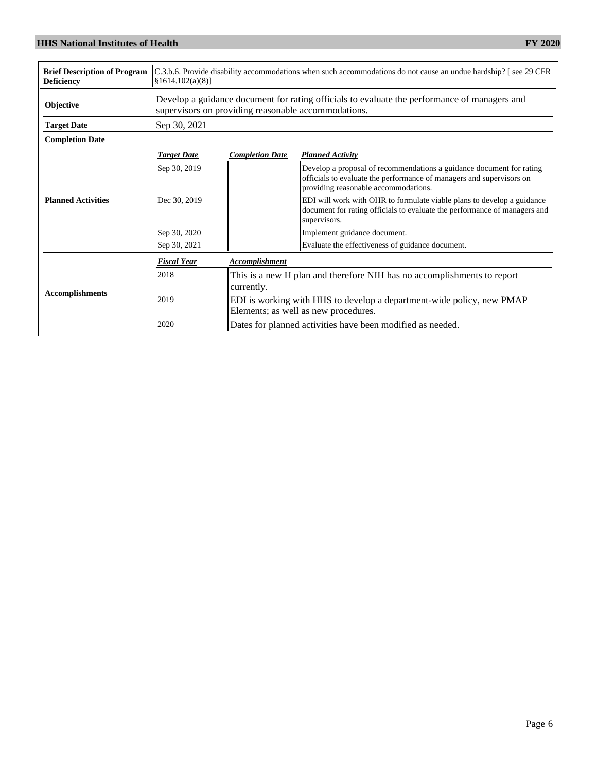| <b>Brief Description of Program</b><br><b>Deficiency</b> | $\{1614.102(a)(8)\}$ | C.3.b.6. Provide disability accommodations when such accommodations do not cause an undue hardship? [see 29 CFR                                     |                                                                                                                                                                                      |  |  |
|----------------------------------------------------------|----------------------|-----------------------------------------------------------------------------------------------------------------------------------------------------|--------------------------------------------------------------------------------------------------------------------------------------------------------------------------------------|--|--|
| Objective                                                |                      | Develop a guidance document for rating officials to evaluate the performance of managers and<br>supervisors on providing reasonable accommodations. |                                                                                                                                                                                      |  |  |
| <b>Target Date</b>                                       | Sep 30, 2021         |                                                                                                                                                     |                                                                                                                                                                                      |  |  |
| <b>Completion Date</b>                                   |                      |                                                                                                                                                     |                                                                                                                                                                                      |  |  |
|                                                          | <b>Target Date</b>   | <b>Completion Date</b>                                                                                                                              | <b>Planned Activity</b>                                                                                                                                                              |  |  |
| <b>Planned Activities</b>                                | Sep 30, 2019         |                                                                                                                                                     | Develop a proposal of recommendations a guidance document for rating<br>officials to evaluate the performance of managers and supervisors on<br>providing reasonable accommodations. |  |  |
|                                                          | Dec 30, 2019         |                                                                                                                                                     | EDI will work with OHR to formulate viable plans to develop a guidance<br>document for rating officials to evaluate the performance of managers and<br>supervisors.                  |  |  |
|                                                          | Sep 30, 2020         |                                                                                                                                                     | Implement guidance document.                                                                                                                                                         |  |  |
|                                                          | Sep 30, 2021         |                                                                                                                                                     | Evaluate the effectiveness of guidance document.                                                                                                                                     |  |  |
|                                                          | <b>Fiscal Year</b>   | <b>Accomplishment</b>                                                                                                                               |                                                                                                                                                                                      |  |  |
|                                                          | 2018                 | This is a new H plan and therefore NIH has no accomplishments to report                                                                             |                                                                                                                                                                                      |  |  |
| <b>Accomplishments</b>                                   |                      | currently.                                                                                                                                          |                                                                                                                                                                                      |  |  |
|                                                          | 2019                 | EDI is working with HHS to develop a department-wide policy, new PMAP<br>Elements; as well as new procedures.                                       |                                                                                                                                                                                      |  |  |
|                                                          | 2020                 | Dates for planned activities have been modified as needed.                                                                                          |                                                                                                                                                                                      |  |  |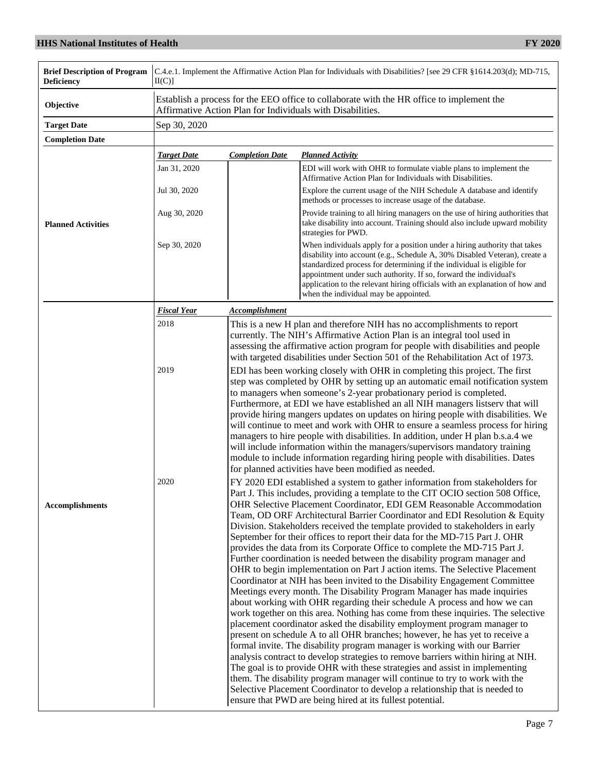| <b>Brief Description of Program</b><br><b>Deficiency</b> | C.4.e.1. Implement the Affirmative Action Plan for Individuals with Disabilities? [see 29 CFR §1614.203(d); MD-715,<br>II(C) |                                                                                                                                                                                                                                                                                                                                                                                                                                                                                                                                                                                                                                                                                                                                                                                                                                                                                                                                                                                                                                                                                                                                                                                                                                                                                                                                                                                                                                                                                                                                                                                                                                                                                                 |  |  |  |
|----------------------------------------------------------|------------------------------------------------------------------------------------------------------------------------------|-------------------------------------------------------------------------------------------------------------------------------------------------------------------------------------------------------------------------------------------------------------------------------------------------------------------------------------------------------------------------------------------------------------------------------------------------------------------------------------------------------------------------------------------------------------------------------------------------------------------------------------------------------------------------------------------------------------------------------------------------------------------------------------------------------------------------------------------------------------------------------------------------------------------------------------------------------------------------------------------------------------------------------------------------------------------------------------------------------------------------------------------------------------------------------------------------------------------------------------------------------------------------------------------------------------------------------------------------------------------------------------------------------------------------------------------------------------------------------------------------------------------------------------------------------------------------------------------------------------------------------------------------------------------------------------------------|--|--|--|
| Objective                                                |                                                                                                                              | Establish a process for the EEO office to collaborate with the HR office to implement the<br>Affirmative Action Plan for Individuals with Disabilities.                                                                                                                                                                                                                                                                                                                                                                                                                                                                                                                                                                                                                                                                                                                                                                                                                                                                                                                                                                                                                                                                                                                                                                                                                                                                                                                                                                                                                                                                                                                                         |  |  |  |
| <b>Target Date</b>                                       | Sep 30, 2020                                                                                                                 |                                                                                                                                                                                                                                                                                                                                                                                                                                                                                                                                                                                                                                                                                                                                                                                                                                                                                                                                                                                                                                                                                                                                                                                                                                                                                                                                                                                                                                                                                                                                                                                                                                                                                                 |  |  |  |
| <b>Completion Date</b>                                   |                                                                                                                              |                                                                                                                                                                                                                                                                                                                                                                                                                                                                                                                                                                                                                                                                                                                                                                                                                                                                                                                                                                                                                                                                                                                                                                                                                                                                                                                                                                                                                                                                                                                                                                                                                                                                                                 |  |  |  |
|                                                          | <b>Target Date</b>                                                                                                           | <b>Completion Date</b><br><b>Planned Activity</b>                                                                                                                                                                                                                                                                                                                                                                                                                                                                                                                                                                                                                                                                                                                                                                                                                                                                                                                                                                                                                                                                                                                                                                                                                                                                                                                                                                                                                                                                                                                                                                                                                                               |  |  |  |
|                                                          | Jan 31, 2020                                                                                                                 | EDI will work with OHR to formulate viable plans to implement the<br>Affirmative Action Plan for Individuals with Disabilities.                                                                                                                                                                                                                                                                                                                                                                                                                                                                                                                                                                                                                                                                                                                                                                                                                                                                                                                                                                                                                                                                                                                                                                                                                                                                                                                                                                                                                                                                                                                                                                 |  |  |  |
|                                                          | Jul 30, 2020                                                                                                                 | Explore the current usage of the NIH Schedule A database and identify<br>methods or processes to increase usage of the database.                                                                                                                                                                                                                                                                                                                                                                                                                                                                                                                                                                                                                                                                                                                                                                                                                                                                                                                                                                                                                                                                                                                                                                                                                                                                                                                                                                                                                                                                                                                                                                |  |  |  |
| <b>Planned Activities</b>                                | Aug 30, 2020                                                                                                                 | Provide training to all hiring managers on the use of hiring authorities that<br>take disability into account. Training should also include upward mobility<br>strategies for PWD.                                                                                                                                                                                                                                                                                                                                                                                                                                                                                                                                                                                                                                                                                                                                                                                                                                                                                                                                                                                                                                                                                                                                                                                                                                                                                                                                                                                                                                                                                                              |  |  |  |
|                                                          | Sep 30, 2020                                                                                                                 | When individuals apply for a position under a hiring authority that takes<br>disability into account (e.g., Schedule A, 30% Disabled Veteran), create a<br>standardized process for determining if the individual is eligible for<br>appointment under such authority. If so, forward the individual's<br>application to the relevant hiring officials with an explanation of how and<br>when the individual may be appointed.                                                                                                                                                                                                                                                                                                                                                                                                                                                                                                                                                                                                                                                                                                                                                                                                                                                                                                                                                                                                                                                                                                                                                                                                                                                                  |  |  |  |
|                                                          | <b>Fiscal Year</b>                                                                                                           | <b>Accomplishment</b>                                                                                                                                                                                                                                                                                                                                                                                                                                                                                                                                                                                                                                                                                                                                                                                                                                                                                                                                                                                                                                                                                                                                                                                                                                                                                                                                                                                                                                                                                                                                                                                                                                                                           |  |  |  |
|                                                          | 2018                                                                                                                         | This is a new H plan and therefore NIH has no accomplishments to report<br>currently. The NIH's Affirmative Action Plan is an integral tool used in<br>assessing the affirmative action program for people with disabilities and people<br>with targeted disabilities under Section 501 of the Rehabilitation Act of 1973.                                                                                                                                                                                                                                                                                                                                                                                                                                                                                                                                                                                                                                                                                                                                                                                                                                                                                                                                                                                                                                                                                                                                                                                                                                                                                                                                                                      |  |  |  |
|                                                          | 2019                                                                                                                         | EDI has been working closely with OHR in completing this project. The first<br>step was completed by OHR by setting up an automatic email notification system<br>to managers when someone's 2-year probationary period is completed.<br>Furthermore, at EDI we have established an all NIH managers listserv that will<br>provide hiring mangers updates on updates on hiring people with disabilities. We<br>will continue to meet and work with OHR to ensure a seamless process for hiring<br>managers to hire people with disabilities. In addition, under H plan b.s.a.4 we<br>will include information within the managers/supervisors mandatory training<br>module to include information regarding hiring people with disabilities. Dates<br>for planned activities have been modified as needed.                                                                                                                                                                                                                                                                                                                                                                                                                                                                                                                                                                                                                                                                                                                                                                                                                                                                                       |  |  |  |
| <b>Accomplishments</b>                                   | 2020                                                                                                                         | FY 2020 EDI established a system to gather information from stakeholders for<br>Part J. This includes, providing a template to the CIT OCIO section 508 Office,<br>OHR Selective Placement Coordinator, EDI GEM Reasonable Accommodation<br>Team, OD ORF Architectural Barrier Coordinator and EDI Resolution & Equity<br>Division. Stakeholders received the template provided to stakeholders in early<br>September for their offices to report their data for the MD-715 Part J. OHR<br>provides the data from its Corporate Office to complete the MD-715 Part J.<br>Further coordination is needed between the disability program manager and<br>OHR to begin implementation on Part J action items. The Selective Placement<br>Coordinator at NIH has been invited to the Disability Engagement Committee<br>Meetings every month. The Disability Program Manager has made inquiries<br>about working with OHR regarding their schedule A process and how we can<br>work together on this area. Nothing has come from these inquiries. The selective<br>placement coordinator asked the disability employment program manager to<br>present on schedule A to all OHR branches; however, he has yet to receive a<br>formal invite. The disability program manager is working with our Barrier<br>analysis contract to develop strategies to remove barriers within hiring at NIH.<br>The goal is to provide OHR with these strategies and assist in implementing<br>them. The disability program manager will continue to try to work with the<br>Selective Placement Coordinator to develop a relationship that is needed to<br>ensure that PWD are being hired at its fullest potential. |  |  |  |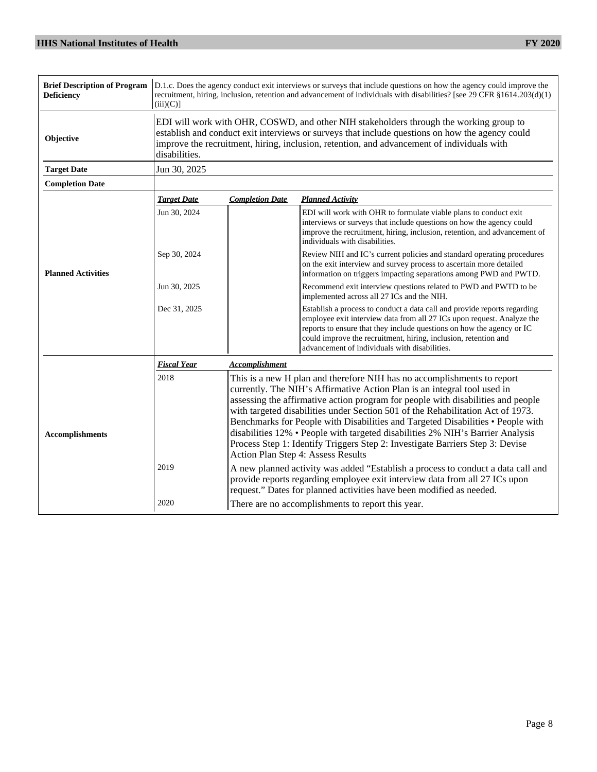| <b>Brief Description of Program</b><br><b>Deficiency</b> | $(iii)(C)$ ]       | D.1.c. Does the agency conduct exit interviews or surveys that include questions on how the agency could improve the<br>recruitment, hiring, inclusion, retention and advancement of individuals with disabilities? [see 29 CFR §1614.203(d)(1)                                                                                                                                                                                                                                                                                                                                                                        |                                                                                                                                                                                                                                                                                                                                                 |  |  |
|----------------------------------------------------------|--------------------|------------------------------------------------------------------------------------------------------------------------------------------------------------------------------------------------------------------------------------------------------------------------------------------------------------------------------------------------------------------------------------------------------------------------------------------------------------------------------------------------------------------------------------------------------------------------------------------------------------------------|-------------------------------------------------------------------------------------------------------------------------------------------------------------------------------------------------------------------------------------------------------------------------------------------------------------------------------------------------|--|--|
| Objective                                                | disabilities.      | EDI will work with OHR, COSWD, and other NIH stakeholders through the working group to<br>establish and conduct exit interviews or surveys that include questions on how the agency could<br>improve the recruitment, hiring, inclusion, retention, and advancement of individuals with                                                                                                                                                                                                                                                                                                                                |                                                                                                                                                                                                                                                                                                                                                 |  |  |
| <b>Target Date</b>                                       | Jun 30, 2025       |                                                                                                                                                                                                                                                                                                                                                                                                                                                                                                                                                                                                                        |                                                                                                                                                                                                                                                                                                                                                 |  |  |
| <b>Completion Date</b>                                   |                    |                                                                                                                                                                                                                                                                                                                                                                                                                                                                                                                                                                                                                        |                                                                                                                                                                                                                                                                                                                                                 |  |  |
|                                                          | <b>Target Date</b> | <b>Completion Date</b>                                                                                                                                                                                                                                                                                                                                                                                                                                                                                                                                                                                                 | <b>Planned Activity</b>                                                                                                                                                                                                                                                                                                                         |  |  |
| <b>Planned Activities</b>                                | Jun 30, 2024       |                                                                                                                                                                                                                                                                                                                                                                                                                                                                                                                                                                                                                        | EDI will work with OHR to formulate viable plans to conduct exit<br>interviews or surveys that include questions on how the agency could<br>improve the recruitment, hiring, inclusion, retention, and advancement of<br>individuals with disabilities.                                                                                         |  |  |
|                                                          | Sep 30, 2024       |                                                                                                                                                                                                                                                                                                                                                                                                                                                                                                                                                                                                                        | Review NIH and IC's current policies and standard operating procedures<br>on the exit interview and survey process to ascertain more detailed<br>information on triggers impacting separations among PWD and PWTD.                                                                                                                              |  |  |
|                                                          | Jun 30, 2025       |                                                                                                                                                                                                                                                                                                                                                                                                                                                                                                                                                                                                                        | Recommend exit interview questions related to PWD and PWTD to be<br>implemented across all 27 ICs and the NIH.                                                                                                                                                                                                                                  |  |  |
|                                                          | Dec 31, 2025       |                                                                                                                                                                                                                                                                                                                                                                                                                                                                                                                                                                                                                        | Establish a process to conduct a data call and provide reports regarding<br>employee exit interview data from all 27 ICs upon request. Analyze the<br>reports to ensure that they include questions on how the agency or IC<br>could improve the recruitment, hiring, inclusion, retention and<br>advancement of individuals with disabilities. |  |  |
|                                                          | <b>Fiscal Year</b> | <b>Accomplishment</b>                                                                                                                                                                                                                                                                                                                                                                                                                                                                                                                                                                                                  |                                                                                                                                                                                                                                                                                                                                                 |  |  |
| <b>Accomplishments</b>                                   | 2018               | This is a new H plan and therefore NIH has no accomplishments to report<br>currently. The NIH's Affirmative Action Plan is an integral tool used in<br>assessing the affirmative action program for people with disabilities and people<br>with targeted disabilities under Section 501 of the Rehabilitation Act of 1973.<br>Benchmarks for People with Disabilities and Targeted Disabilities • People with<br>disabilities 12% • People with targeted disabilities 2% NIH's Barrier Analysis<br>Process Step 1: Identify Triggers Step 2: Investigate Barriers Step 3: Devise<br>Action Plan Step 4: Assess Results |                                                                                                                                                                                                                                                                                                                                                 |  |  |
|                                                          | 2019               | A new planned activity was added "Establish a process to conduct a data call and<br>provide reports regarding employee exit interview data from all 27 ICs upon<br>request." Dates for planned activities have been modified as needed.                                                                                                                                                                                                                                                                                                                                                                                |                                                                                                                                                                                                                                                                                                                                                 |  |  |
|                                                          | 2020               | There are no accomplishments to report this year.                                                                                                                                                                                                                                                                                                                                                                                                                                                                                                                                                                      |                                                                                                                                                                                                                                                                                                                                                 |  |  |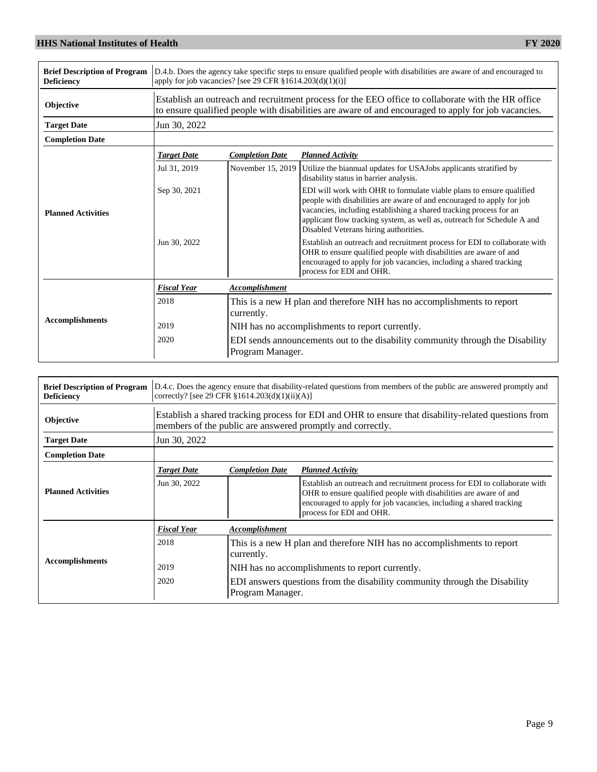| <b>Brief Description of Program</b><br><b>Deficiency</b> | D.4.b. Does the agency take specific steps to ensure qualified people with disabilities are aware of and encouraged to<br>apply for job vacancies? [see 29 CFR $§1614.203(d)(1)(i)]$ |                                                                                                    |                                                                                                                                                                                                                                                                                                                                         |  |
|----------------------------------------------------------|--------------------------------------------------------------------------------------------------------------------------------------------------------------------------------------|----------------------------------------------------------------------------------------------------|-----------------------------------------------------------------------------------------------------------------------------------------------------------------------------------------------------------------------------------------------------------------------------------------------------------------------------------------|--|
| Objective                                                |                                                                                                                                                                                      |                                                                                                    | Establish an outreach and recruitment process for the EEO office to collaborate with the HR office<br>to ensure qualified people with disabilities are aware of and encouraged to apply for job vacancies.                                                                                                                              |  |
| <b>Target Date</b>                                       | Jun 30, 2022                                                                                                                                                                         |                                                                                                    |                                                                                                                                                                                                                                                                                                                                         |  |
| <b>Completion Date</b>                                   |                                                                                                                                                                                      |                                                                                                    |                                                                                                                                                                                                                                                                                                                                         |  |
|                                                          | <b>Target Date</b>                                                                                                                                                                   | <b>Completion Date</b>                                                                             | <b>Planned Activity</b>                                                                                                                                                                                                                                                                                                                 |  |
| <b>Planned Activities</b>                                | Jul 31, 2019                                                                                                                                                                         | November 15, 2019                                                                                  | Utilize the biannual updates for USAJobs applicants stratified by<br>disability status in barrier analysis.                                                                                                                                                                                                                             |  |
|                                                          | Sep 30, 2021                                                                                                                                                                         |                                                                                                    | EDI will work with OHR to formulate viable plans to ensure qualified<br>people with disabilities are aware of and encouraged to apply for job<br>vacancies, including establishing a shared tracking process for an<br>applicant flow tracking system, as well as, outreach for Schedule A and<br>Disabled Veterans hiring authorities. |  |
|                                                          | Jun 30, 2022                                                                                                                                                                         |                                                                                                    | Establish an outreach and recruitment process for EDI to collaborate with<br>OHR to ensure qualified people with disabilities are aware of and<br>encouraged to apply for job vacancies, including a shared tracking<br>process for EDI and OHR.                                                                                        |  |
|                                                          | <b>Fiscal Year</b>                                                                                                                                                                   | <b>Accomplishment</b>                                                                              |                                                                                                                                                                                                                                                                                                                                         |  |
|                                                          | 2018                                                                                                                                                                                 | This is a new H plan and therefore NIH has no accomplishments to report<br>currently.              |                                                                                                                                                                                                                                                                                                                                         |  |
| <b>Accomplishments</b>                                   | 2019                                                                                                                                                                                 |                                                                                                    | NIH has no accomplishments to report currently.                                                                                                                                                                                                                                                                                         |  |
|                                                          | 2020                                                                                                                                                                                 | EDI sends announcements out to the disability community through the Disability<br>Program Manager. |                                                                                                                                                                                                                                                                                                                                         |  |

| <b>Brief Description of Program</b><br><b>Deficiency</b> | D.4.c. Does the agency ensure that disability-related questions from members of the public are answered promptly and<br>correctly? [see 29 CFR $$1614.203(d)(1)(ii)(A)]$ |                                                                                                                                                                    |                                                                                                                                                                                                                                                  |  |  |  |  |
|----------------------------------------------------------|--------------------------------------------------------------------------------------------------------------------------------------------------------------------------|--------------------------------------------------------------------------------------------------------------------------------------------------------------------|--------------------------------------------------------------------------------------------------------------------------------------------------------------------------------------------------------------------------------------------------|--|--|--|--|
| Objective                                                |                                                                                                                                                                          | Establish a shared tracking process for EDI and OHR to ensure that disability-related questions from<br>members of the public are answered promptly and correctly. |                                                                                                                                                                                                                                                  |  |  |  |  |
| <b>Target Date</b>                                       | Jun 30, 2022                                                                                                                                                             |                                                                                                                                                                    |                                                                                                                                                                                                                                                  |  |  |  |  |
| <b>Completion Date</b>                                   |                                                                                                                                                                          |                                                                                                                                                                    |                                                                                                                                                                                                                                                  |  |  |  |  |
|                                                          | <b>Target Date</b>                                                                                                                                                       | <b>Completion Date</b>                                                                                                                                             | <b>Planned Activity</b>                                                                                                                                                                                                                          |  |  |  |  |
| <b>Planned Activities</b>                                | Jun 30, 2022                                                                                                                                                             |                                                                                                                                                                    | Establish an outreach and recruitment process for EDI to collaborate with<br>OHR to ensure qualified people with disabilities are aware of and<br>encouraged to apply for job vacancies, including a shared tracking<br>process for EDI and OHR. |  |  |  |  |
|                                                          | <b>Fiscal Year</b>                                                                                                                                                       | Accomplishment                                                                                                                                                     |                                                                                                                                                                                                                                                  |  |  |  |  |
|                                                          | 2018                                                                                                                                                                     | This is a new H plan and therefore NIH has no accomplishments to report<br>currently.                                                                              |                                                                                                                                                                                                                                                  |  |  |  |  |
| <b>Accomplishments</b>                                   | 2019                                                                                                                                                                     |                                                                                                                                                                    | NIH has no accomplishments to report currently.                                                                                                                                                                                                  |  |  |  |  |
|                                                          | 2020                                                                                                                                                                     |                                                                                                                                                                    | EDI answers questions from the disability community through the Disability<br>Program Manager.                                                                                                                                                   |  |  |  |  |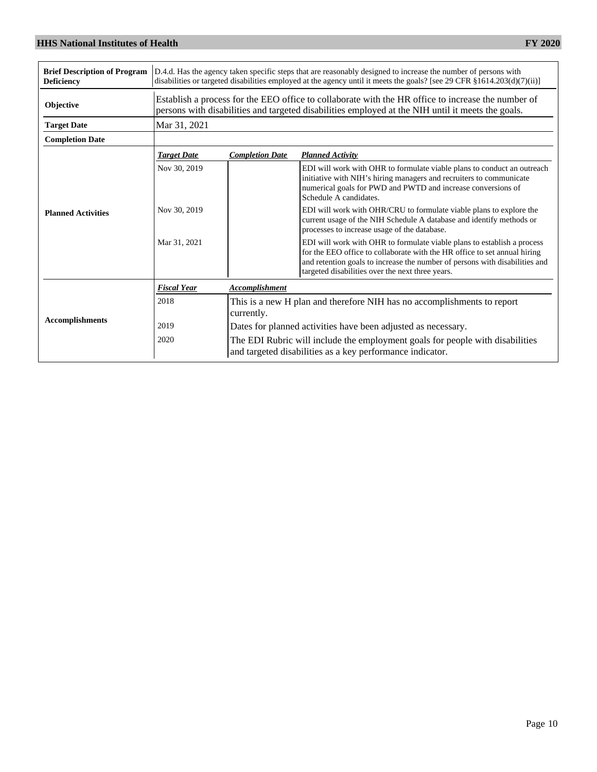| <b>Brief Description of Program</b><br><b>Deficiency</b> | D.4.d. Has the agency taken specific steps that are reasonably designed to increase the number of persons with<br>disabilities or targeted disabilities employed at the agency until it meets the goals? [see 29 CFR $\S 1614.203(d)(7)(ii)$ ] |                                                                                                                                                                                                         |                                                                                                                                                                                                                                                                                         |  |  |  |  |
|----------------------------------------------------------|------------------------------------------------------------------------------------------------------------------------------------------------------------------------------------------------------------------------------------------------|---------------------------------------------------------------------------------------------------------------------------------------------------------------------------------------------------------|-----------------------------------------------------------------------------------------------------------------------------------------------------------------------------------------------------------------------------------------------------------------------------------------|--|--|--|--|
| Objective                                                |                                                                                                                                                                                                                                                | Establish a process for the EEO office to collaborate with the HR office to increase the number of<br>persons with disabilities and targeted disabilities employed at the NIH until it meets the goals. |                                                                                                                                                                                                                                                                                         |  |  |  |  |
| <b>Target Date</b>                                       | Mar 31, 2021                                                                                                                                                                                                                                   |                                                                                                                                                                                                         |                                                                                                                                                                                                                                                                                         |  |  |  |  |
| <b>Completion Date</b>                                   |                                                                                                                                                                                                                                                |                                                                                                                                                                                                         |                                                                                                                                                                                                                                                                                         |  |  |  |  |
|                                                          | <b>Target Date</b>                                                                                                                                                                                                                             | <b>Completion Date</b>                                                                                                                                                                                  | <b>Planned Activity</b>                                                                                                                                                                                                                                                                 |  |  |  |  |
| <b>Planned Activities</b>                                | Nov 30, 2019                                                                                                                                                                                                                                   |                                                                                                                                                                                                         | EDI will work with OHR to formulate viable plans to conduct an outreach<br>initiative with NIH's hiring managers and recruiters to communicate<br>numerical goals for PWD and PWTD and increase conversions of<br>Schedule A candidates.                                                |  |  |  |  |
|                                                          | Nov 30, 2019                                                                                                                                                                                                                                   |                                                                                                                                                                                                         | EDI will work with OHR/CRU to formulate viable plans to explore the<br>current usage of the NIH Schedule A database and identify methods or<br>processes to increase usage of the database.                                                                                             |  |  |  |  |
|                                                          | Mar 31, 2021                                                                                                                                                                                                                                   |                                                                                                                                                                                                         | EDI will work with OHR to formulate viable plans to establish a process<br>for the EEO office to collaborate with the HR office to set annual hiring<br>and retention goals to increase the number of persons with disabilities and<br>targeted disabilities over the next three years. |  |  |  |  |
|                                                          | <b>Fiscal Year</b>                                                                                                                                                                                                                             | Accomplishment                                                                                                                                                                                          |                                                                                                                                                                                                                                                                                         |  |  |  |  |
|                                                          | 2018                                                                                                                                                                                                                                           | This is a new H plan and therefore NIH has no accomplishments to report<br>currently.                                                                                                                   |                                                                                                                                                                                                                                                                                         |  |  |  |  |
| <b>Accomplishments</b>                                   | 2019                                                                                                                                                                                                                                           |                                                                                                                                                                                                         | Dates for planned activities have been adjusted as necessary.                                                                                                                                                                                                                           |  |  |  |  |
|                                                          | 2020                                                                                                                                                                                                                                           | The EDI Rubric will include the employment goals for people with disabilities<br>and targeted disabilities as a key performance indicator.                                                              |                                                                                                                                                                                                                                                                                         |  |  |  |  |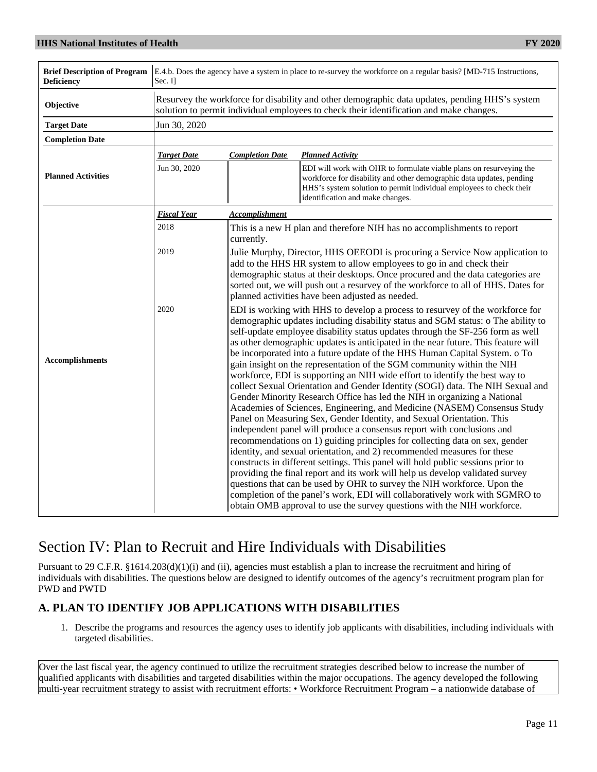| <b>Brief Description of Program</b><br><b>Deficiency</b> | E.4.b. Does the agency have a system in place to re-survey the workforce on a regular basis? [MD-715 Instructions,<br>Sec. Il |                                                                                                                                                                                                                                                                                                                                                                                                                                                                                                                                                                                                                                                                                                                                                                                                                                                                                                                                                                                                                                                                                                                                                                                                                                                                                                                                                                                                                                                                      |  |  |  |  |  |  |
|----------------------------------------------------------|-------------------------------------------------------------------------------------------------------------------------------|----------------------------------------------------------------------------------------------------------------------------------------------------------------------------------------------------------------------------------------------------------------------------------------------------------------------------------------------------------------------------------------------------------------------------------------------------------------------------------------------------------------------------------------------------------------------------------------------------------------------------------------------------------------------------------------------------------------------------------------------------------------------------------------------------------------------------------------------------------------------------------------------------------------------------------------------------------------------------------------------------------------------------------------------------------------------------------------------------------------------------------------------------------------------------------------------------------------------------------------------------------------------------------------------------------------------------------------------------------------------------------------------------------------------------------------------------------------------|--|--|--|--|--|--|
| Objective                                                |                                                                                                                               | Resurvey the workforce for disability and other demographic data updates, pending HHS's system<br>solution to permit individual employees to check their identification and make changes.                                                                                                                                                                                                                                                                                                                                                                                                                                                                                                                                                                                                                                                                                                                                                                                                                                                                                                                                                                                                                                                                                                                                                                                                                                                                            |  |  |  |  |  |  |
| <b>Target Date</b>                                       | Jun 30, 2020                                                                                                                  |                                                                                                                                                                                                                                                                                                                                                                                                                                                                                                                                                                                                                                                                                                                                                                                                                                                                                                                                                                                                                                                                                                                                                                                                                                                                                                                                                                                                                                                                      |  |  |  |  |  |  |
| <b>Completion Date</b>                                   |                                                                                                                               |                                                                                                                                                                                                                                                                                                                                                                                                                                                                                                                                                                                                                                                                                                                                                                                                                                                                                                                                                                                                                                                                                                                                                                                                                                                                                                                                                                                                                                                                      |  |  |  |  |  |  |
|                                                          | <b>Target Date</b>                                                                                                            | <b>Completion Date</b><br><b>Planned Activity</b>                                                                                                                                                                                                                                                                                                                                                                                                                                                                                                                                                                                                                                                                                                                                                                                                                                                                                                                                                                                                                                                                                                                                                                                                                                                                                                                                                                                                                    |  |  |  |  |  |  |
| <b>Planned Activities</b>                                | Jun 30, 2020                                                                                                                  | EDI will work with OHR to formulate viable plans on resurveying the<br>workforce for disability and other demographic data updates, pending<br>HHS's system solution to permit individual employees to check their<br>identification and make changes.                                                                                                                                                                                                                                                                                                                                                                                                                                                                                                                                                                                                                                                                                                                                                                                                                                                                                                                                                                                                                                                                                                                                                                                                               |  |  |  |  |  |  |
|                                                          | <b>Fiscal Year</b>                                                                                                            | <b>Accomplishment</b>                                                                                                                                                                                                                                                                                                                                                                                                                                                                                                                                                                                                                                                                                                                                                                                                                                                                                                                                                                                                                                                                                                                                                                                                                                                                                                                                                                                                                                                |  |  |  |  |  |  |
|                                                          | 2018                                                                                                                          | This is a new H plan and therefore NIH has no accomplishments to report<br>currently.                                                                                                                                                                                                                                                                                                                                                                                                                                                                                                                                                                                                                                                                                                                                                                                                                                                                                                                                                                                                                                                                                                                                                                                                                                                                                                                                                                                |  |  |  |  |  |  |
|                                                          | 2019                                                                                                                          | Julie Murphy, Director, HHS OEEODI is procuring a Service Now application to<br>add to the HHS HR system to allow employees to go in and check their<br>demographic status at their desktops. Once procured and the data categories are<br>sorted out, we will push out a resurvey of the workforce to all of HHS. Dates for<br>planned activities have been adjusted as needed.                                                                                                                                                                                                                                                                                                                                                                                                                                                                                                                                                                                                                                                                                                                                                                                                                                                                                                                                                                                                                                                                                     |  |  |  |  |  |  |
| <b>Accomplishments</b>                                   | 2020                                                                                                                          | EDI is working with HHS to develop a process to resurvey of the workforce for<br>demographic updates including disability status and SGM status: o The ability to<br>self-update employee disability status updates through the SF-256 form as well<br>as other demographic updates is anticipated in the near future. This feature will<br>be incorporated into a future update of the HHS Human Capital System. o To<br>gain insight on the representation of the SGM community within the NIH<br>workforce, EDI is supporting an NIH wide effort to identify the best way to<br>collect Sexual Orientation and Gender Identity (SOGI) data. The NIH Sexual and<br>Gender Minority Research Office has led the NIH in organizing a National<br>Academies of Sciences, Engineering, and Medicine (NASEM) Consensus Study<br>Panel on Measuring Sex, Gender Identity, and Sexual Orientation. This<br>independent panel will produce a consensus report with conclusions and<br>recommendations on 1) guiding principles for collecting data on sex, gender<br>identity, and sexual orientation, and 2) recommended measures for these<br>constructs in different settings. This panel will hold public sessions prior to<br>providing the final report and its work will help us develop validated survey<br>questions that can be used by OHR to survey the NIH workforce. Upon the<br>completion of the panel's work, EDI will collaboratively work with SGMRO to |  |  |  |  |  |  |

# Section IV: Plan to Recruit and Hire Individuals with Disabilities

Pursuant to 29 C.F.R. §1614.203(d)(1)(i) and (ii), agencies must establish a plan to increase the recruitment and hiring of individuals with disabilities. The questions below are designed to identify outcomes of the agency's recruitment program plan for PWD and PWTD

#### **A. PLAN TO IDENTIFY JOB APPLICATIONS WITH DISABILITIES**

1. Describe the programs and resources the agency uses to identify job applicants with disabilities, including individuals with targeted disabilities.

Over the last fiscal year, the agency continued to utilize the recruitment strategies described below to increase the number of qualified applicants with disabilities and targeted disabilities within the major occupations. The agency developed the following multi-year recruitment strategy to assist with recruitment efforts: • Workforce Recruitment Program – a nationwide database of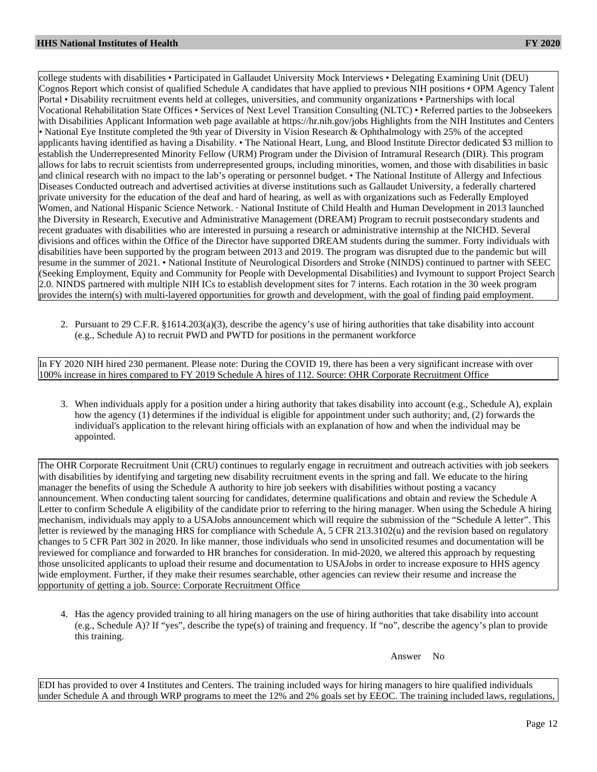college students with disabilities • Participated in Gallaudet University Mock Interviews • Delegating Examining Unit (DEU) Cognos Report which consist of qualified Schedule A candidates that have applied to previous NIH positions • OPM Agency Talent Portal • Disability recruitment events held at colleges, universities, and community organizations • Partnerships with local Vocational Rehabilitation State Offices • Services of Next Level Transition Consulting (NLTC) • Referred parties to the Jobseekers with Disabilities Applicant Information web page available at https://hr.nih.gov/jobs Highlights from the NIH Institutes and Centers • National Eye Institute completed the 9th year of Diversity in Vision Research & Ophthalmology with 25% of the accepted applicants having identified as having a Disability. • The National Heart, Lung, and Blood Institute Director dedicated \$3 million to establish the Underrepresented Minority Fellow (URM) Program under the Division of Intramural Research (DIR). This program allows for labs to recruit scientists from underrepresented groups, including minorities, women, and those with disabilities in basic and clinical research with no impact to the lab's operating or personnel budget. • The National Institute of Allergy and Infectious Diseases Conducted outreach and advertised activities at diverse institutions such as Gallaudet University, a federally chartered private university for the education of the deaf and hard of hearing, as well as with organizations such as Federally Employed Women, and National Hispanic Science Network. · National Institute of Child Health and Human Development in 2013 launched the Diversity in Research, Executive and Administrative Management (DREAM) Program to recruit postsecondary students and recent graduates with disabilities who are interested in pursuing a research or administrative internship at the NICHD. Several divisions and offices within the Office of the Director have supported DREAM students during the summer. Forty individuals with disabilities have been supported by the program between 2013 and 2019. The program was disrupted due to the pandemic but will resume in the summer of 2021. • National Institute of Neurological Disorders and Stroke (NINDS) continued to partner with SEEC (Seeking Employment, Equity and Community for People with Developmental Disabilities) and Ivymount to support Project Search 2.0. NINDS partnered with multiple NIH ICs to establish development sites for 7 interns. Each rotation in the 30 week program provides the intern(s) with multi-layered opportunities for growth and development, with the goal of finding paid employment.

2. Pursuant to 29 C.F.R. §1614.203(a)(3), describe the agency's use of hiring authorities that take disability into account (e.g., Schedule A) to recruit PWD and PWTD for positions in the permanent workforce

In FY 2020 NIH hired 230 permanent. Please note: During the COVID 19, there has been a very significant increase with over 100% increase in hires compared to FY 2019 Schedule A hires of 112. Source: OHR Corporate Recruitment Office

3. When individuals apply for a position under a hiring authority that takes disability into account (e.g., Schedule A), explain how the agency (1) determines if the individual is eligible for appointment under such authority; and, (2) forwards the individual's application to the relevant hiring officials with an explanation of how and when the individual may be appointed.

The OHR Corporate Recruitment Unit (CRU) continues to regularly engage in recruitment and outreach activities with job seekers with disabilities by identifying and targeting new disability recruitment events in the spring and fall. We educate to the hiring manager the benefits of using the Schedule A authority to hire job seekers with disabilities without posting a vacancy announcement. When conducting talent sourcing for candidates, determine qualifications and obtain and review the Schedule A Letter to confirm Schedule A eligibility of the candidate prior to referring to the hiring manager. When using the Schedule A hiring mechanism, individuals may apply to a USAJobs announcement which will require the submission of the "Schedule A letter". This letter is reviewed by the managing HRS for compliance with Schedule A, 5 CFR 213.3102(u) and the revision based on regulatory changes to 5 CFR Part 302 in 2020. In like manner, those individuals who send in unsolicited resumes and documentation will be reviewed for compliance and forwarded to HR branches for consideration. In mid-2020, we altered this approach by requesting those unsolicited applicants to upload their resume and documentation to USAJobs in order to increase exposure to HHS agency wide employment. Further, if they make their resumes searchable, other agencies can review their resume and increase the opportunity of getting a job. Source: Corporate Recruitment Office

4. Has the agency provided training to all hiring managers on the use of hiring authorities that take disability into account (e.g., Schedule A)? If "yes", describe the type(s) of training and frequency. If "no", describe the agency's plan to provide this training.

Answer No

EDI has provided to over 4 Institutes and Centers. The training included ways for hiring managers to hire qualified individuals under Schedule A and through WRP programs to meet the 12% and 2% goals set by EEOC. The training included laws, regulations,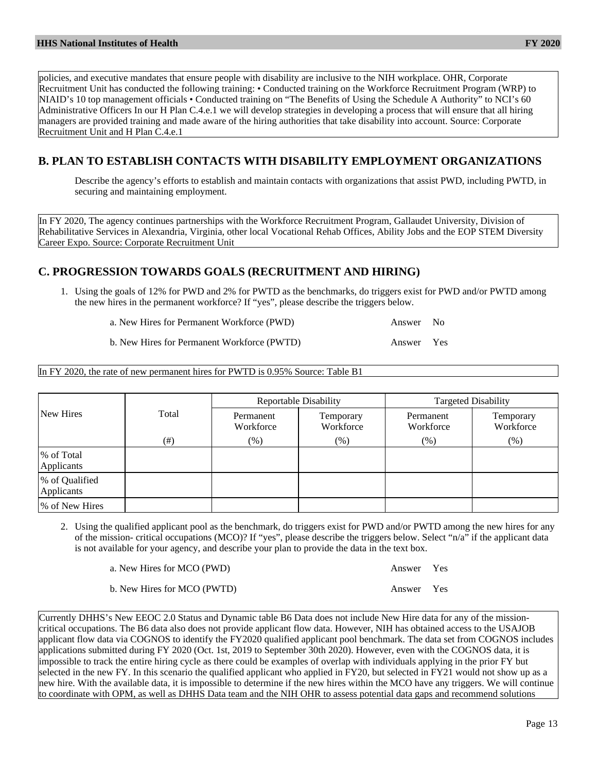policies, and executive mandates that ensure people with disability are inclusive to the NIH workplace. OHR, Corporate Recruitment Unit has conducted the following training: • Conducted training on the Workforce Recruitment Program (WRP) to NIAID's 10 top management officials • Conducted training on "The Benefits of Using the Schedule A Authority" to NCI's 60 Administrative Officers In our H Plan C.4.e.1 we will develop strategies in developing a process that will ensure that all hiring managers are provided training and made aware of the hiring authorities that take disability into account. Source: Corporate Recruitment Unit and H Plan C.4.e.1

## **B. PLAN TO ESTABLISH CONTACTS WITH DISABILITY EMPLOYMENT ORGANIZATIONS**

Describe the agency's efforts to establish and maintain contacts with organizations that assist PWD, including PWTD, in securing and maintaining employment.

In FY 2020, The agency continues partnerships with the Workforce Recruitment Program, Gallaudet University, Division of Rehabilitative Services in Alexandria, Virginia, other local Vocational Rehab Offices, Ability Jobs and the EOP STEM Diversity Career Expo. Source: Corporate Recruitment Unit

#### **C. PROGRESSION TOWARDS GOALS (RECRUITMENT AND HIRING)**

1. Using the goals of 12% for PWD and 2% for PWTD as the benchmarks, do triggers exist for PWD and/or PWTD among the new hires in the permanent workforce? If "yes", please describe the triggers below.

a. New Hires for Permanent Workforce (PWD) Answer No

b. New Hires for Permanent Workforce (PWTD) Answer Yes

In FY 2020, the rate of new permanent hires for PWTD is 0.95% Source: Table B1

|                              |       |                        | <b>Reportable Disability</b> | <b>Targeted Disability</b> |                        |  |
|------------------------------|-------|------------------------|------------------------------|----------------------------|------------------------|--|
| New Hires                    | Total | Permanent<br>Workforce | Temporary<br>Workforce       | Permanent<br>Workforce     | Temporary<br>Workforce |  |
|                              | (# )  | $(\%)$                 | $(\%)$                       | $(\%)$                     | $(\% )$                |  |
| % of Total<br>Applicants     |       |                        |                              |                            |                        |  |
| % of Qualified<br>Applicants |       |                        |                              |                            |                        |  |
| % of New Hires               |       |                        |                              |                            |                        |  |

- 2. Using the qualified applicant pool as the benchmark, do triggers exist for PWD and/or PWTD among the new hires for any of the mission- critical occupations (MCO)? If "yes", please describe the triggers below. Select "n/a" if the applicant data is not available for your agency, and describe your plan to provide the data in the text box.
	- a. New Hires for MCO (PWD) Answer Yes
	- b. New Hires for MCO (PWTD) Answer Yes

Currently DHHS's New EEOC 2.0 Status and Dynamic table B6 Data does not include New Hire data for any of the missioncritical occupations. The B6 data also does not provide applicant flow data. However, NIH has obtained access to the USAJOB applicant flow data via COGNOS to identify the FY2020 qualified applicant pool benchmark. The data set from COGNOS includes applications submitted during FY 2020 (Oct. 1st, 2019 to September 30th 2020). However, even with the COGNOS data, it is impossible to track the entire hiring cycle as there could be examples of overlap with individuals applying in the prior FY but selected in the new FY. In this scenario the qualified applicant who applied in FY20, but selected in FY21 would not show up as a new hire. With the available data, it is impossible to determine if the new hires within the MCO have any triggers. We will continue to coordinate with OPM, as well as DHHS Data team and the NIH OHR to assess potential data gaps and recommend solutions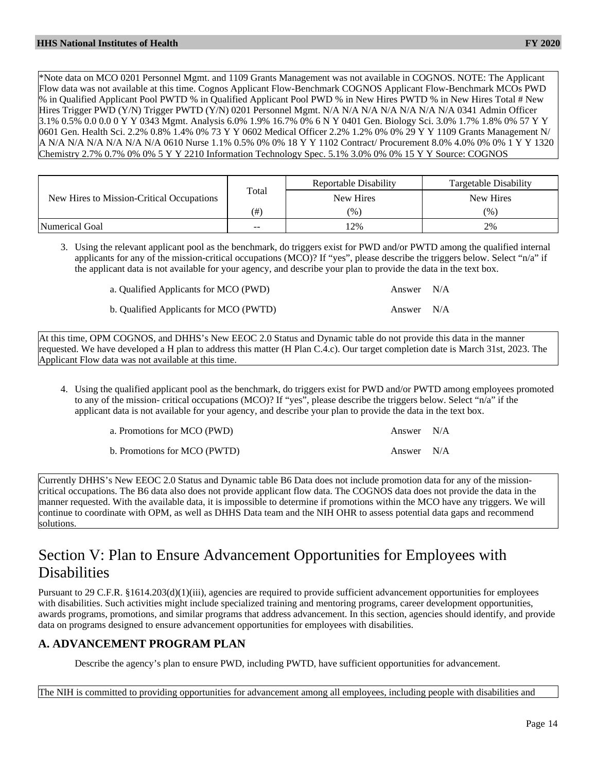\*Note data on MCO 0201 Personnel Mgmt. and 1109 Grants Management was not available in COGNOS. NOTE: The Applicant Flow data was not available at this time. Cognos Applicant Flow-Benchmark COGNOS Applicant Flow-Benchmark MCOs PWD % in Qualified Applicant Pool PWTD % in Qualified Applicant Pool PWD % in New Hires PWTD % in New Hires Total # New Hires Trigger PWD (Y/N) Trigger PWTD (Y/N) 0201 Personnel Mgmt. N/A N/A N/A N/A N/A N/A N/A 0341 Admin Officer 3.1% 0.5% 0.0 0.0 0 Y Y 0343 Mgmt. Analysis 6.0% 1.9% 16.7% 0% 6 N Y 0401 Gen. Biology Sci. 3.0% 1.7% 1.8% 0% 57 Y Y 0601 Gen. Health Sci. 2.2% 0.8% 1.4% 0% 73 Y Y 0602 Medical Officer 2.2% 1.2% 0% 0% 29 Y Y 1109 Grants Management N/ A N/A N/A N/A N/A N/A N/A 0610 Nurse 1.1% 0.5% 0% 0% 18 Y Y 1102 Contract/ Procurement 8.0% 4.0% 0% 0% 1 Y Y 1320 Chemistry 2.7% 0.7% 0% 0% 5 Y Y 2210 Information Technology Spec. 5.1% 3.0% 0% 0% 15 Y Y Source: COGNOS

|                                           |       | Reportable Disability | Targetable Disability |
|-------------------------------------------|-------|-----------------------|-----------------------|
| New Hires to Mission-Critical Occupations | Total | New Hires             | New Hires             |
|                                           | (#`   | $(\%)$                | (%)                   |
| <b>Numerical Goal</b>                     | $- -$ | $12\%$                | 2%                    |

3. Using the relevant applicant pool as the benchmark, do triggers exist for PWD and/or PWTD among the qualified internal applicants for any of the mission-critical occupations (MCO)? If "yes", please describe the triggers below. Select "n/a" if the applicant data is not available for your agency, and describe your plan to provide the data in the text box.

a. Qualified Applicants for MCO (PWD) Answer N/A

b. Qualified Applicants for MCO (PWTD) Answer N/A

At this time, OPM COGNOS, and DHHS's New EEOC 2.0 Status and Dynamic table do not provide this data in the manner requested. We have developed a H plan to address this matter (H Plan C.4.c). Our target completion date is March 31st, 2023. The Applicant Flow data was not available at this time.

4. Using the qualified applicant pool as the benchmark, do triggers exist for PWD and/or PWTD among employees promoted to any of the mission- critical occupations (MCO)? If "yes", please describe the triggers below. Select "n/a" if the applicant data is not available for your agency, and describe your plan to provide the data in the text box.

| a. Promotions for MCO (PWD)  | Answer N/A |  |
|------------------------------|------------|--|
| b. Promotions for MCO (PWTD) | Answer N/A |  |

Currently DHHS's New EEOC 2.0 Status and Dynamic table B6 Data does not include promotion data for any of the missioncritical occupations. The B6 data also does not provide applicant flow data. The COGNOS data does not provide the data in the manner requested. With the available data, it is impossible to determine if promotions within the MCO have any triggers. We will continue to coordinate with OPM, as well as DHHS Data team and the NIH OHR to assess potential data gaps and recommend solutions.

# Section V: Plan to Ensure Advancement Opportunities for Employees with Disabilities

Pursuant to 29 C.F.R. §1614.203(d)(1)(iii), agencies are required to provide sufficient advancement opportunities for employees with disabilities. Such activities might include specialized training and mentoring programs, career development opportunities, awards programs, promotions, and similar programs that address advancement. In this section, agencies should identify, and provide data on programs designed to ensure advancement opportunities for employees with disabilities.

#### **A. ADVANCEMENT PROGRAM PLAN**

Describe the agency's plan to ensure PWD, including PWTD, have sufficient opportunities for advancement.

The NIH is committed to providing opportunities for advancement among all employees, including people with disabilities and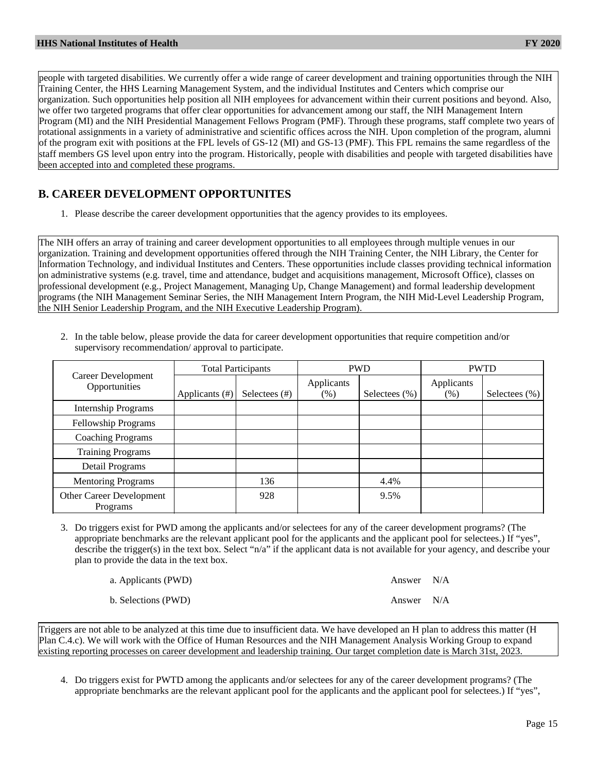people with targeted disabilities. We currently offer a wide range of career development and training opportunities through the NIH Training Center, the HHS Learning Management System, and the individual Institutes and Centers which comprise our organization. Such opportunities help position all NIH employees for advancement within their current positions and beyond. Also, we offer two targeted programs that offer clear opportunities for advancement among our staff, the NIH Management Intern Program (MI) and the NIH Presidential Management Fellows Program (PMF). Through these programs, staff complete two years of rotational assignments in a variety of administrative and scientific offices across the NIH. Upon completion of the program, alumni of the program exit with positions at the FPL levels of GS-12 (MI) and GS-13 (PMF). This FPL remains the same regardless of the staff members GS level upon entry into the program. Historically, people with disabilities and people with targeted disabilities have been accepted into and completed these programs.

#### **B. CAREER DEVELOPMENT OPPORTUNITES**

1. Please describe the career development opportunities that the agency provides to its employees.

The NIH offers an array of training and career development opportunities to all employees through multiple venues in our organization. Training and development opportunities offered through the NIH Training Center, the NIH Library, the Center for Information Technology, and individual Institutes and Centers. These opportunities include classes providing technical information on administrative systems (e.g. travel, time and attendance, budget and acquisitions management, Microsoft Office), classes on professional development (e.g., Project Management, Managing Up, Change Management) and formal leadership development programs (the NIH Management Seminar Series, the NIH Management Intern Program, the NIH Mid-Level Leadership Program, the NIH Senior Leadership Program, and the NIH Executive Leadership Program).

|                                      | <b>Total Participants</b> |                  | <b>PWD</b>           |                   | <b>PWTD</b>        |                  |
|--------------------------------------|---------------------------|------------------|----------------------|-------------------|--------------------|------------------|
| Career Development<br>Opportunities  | Applicants (#)            | Selectees $(\#)$ | Applicants<br>$(\%)$ | Selectees $(\% )$ | Applicants<br>(% ) | Selectees $(\%)$ |
| <b>Internship Programs</b>           |                           |                  |                      |                   |                    |                  |
| <b>Fellowship Programs</b>           |                           |                  |                      |                   |                    |                  |
| <b>Coaching Programs</b>             |                           |                  |                      |                   |                    |                  |
| <b>Training Programs</b>             |                           |                  |                      |                   |                    |                  |
| Detail Programs                      |                           |                  |                      |                   |                    |                  |
| <b>Mentoring Programs</b>            |                           | 136              |                      | 4.4%              |                    |                  |
| Other Career Development<br>Programs |                           | 928              |                      | 9.5%              |                    |                  |

2. In the table below, please provide the data for career development opportunities that require competition and/or supervisory recommendation/ approval to participate.

3. Do triggers exist for PWD among the applicants and/or selectees for any of the career development programs? (The appropriate benchmarks are the relevant applicant pool for the applicants and the applicant pool for selectees.) If "yes", describe the trigger(s) in the text box. Select "n/a" if the applicant data is not available for your agency, and describe your plan to provide the data in the text box.

| a. Applicants (PWD) | Answer N/A |  |
|---------------------|------------|--|
| b. Selections (PWD) | Answer N/A |  |

Triggers are not able to be analyzed at this time due to insufficient data. We have developed an H plan to address this matter (H Plan C.4.c). We will work with the Office of Human Resources and the NIH Management Analysis Working Group to expand existing reporting processes on career development and leadership training. Our target completion date is March 31st, 2023.

4. Do triggers exist for PWTD among the applicants and/or selectees for any of the career development programs? (The appropriate benchmarks are the relevant applicant pool for the applicants and the applicant pool for selectees.) If "yes",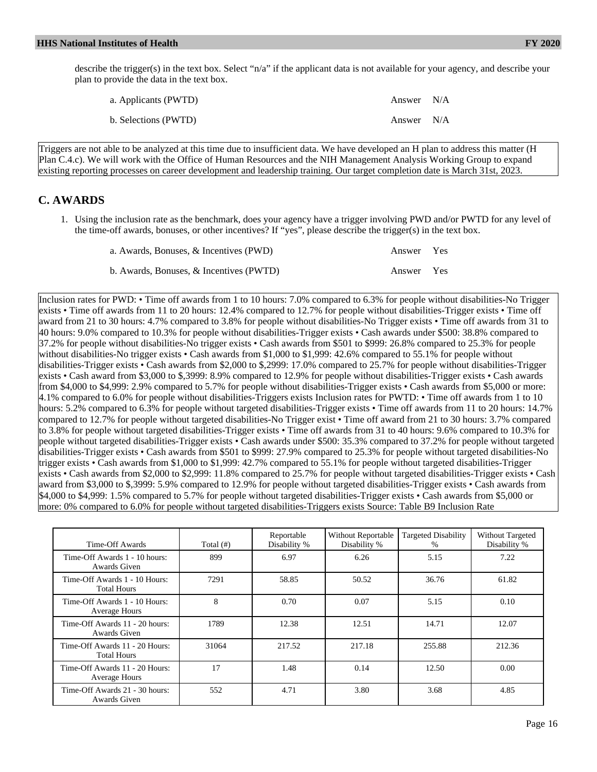describe the trigger(s) in the text box. Select "n/a" if the applicant data is not available for your agency, and describe your plan to provide the data in the text box.

| a. Applicants (PWTD) | Answer N/A |  |
|----------------------|------------|--|
| b. Selections (PWTD) | Answer N/A |  |

Triggers are not able to be analyzed at this time due to insufficient data. We have developed an H plan to address this matter (H Plan C.4.c). We will work with the Office of Human Resources and the NIH Management Analysis Working Group to expand existing reporting processes on career development and leadership training. Our target completion date is March 31st, 2023.

#### **C. AWARDS**

1. Using the inclusion rate as the benchmark, does your agency have a trigger involving PWD and/or PWTD for any level of the time-off awards, bonuses, or other incentives? If "yes", please describe the trigger(s) in the text box.

| a. Awards, Bonuses, & Incentives (PWD)  | Answer Yes |  |
|-----------------------------------------|------------|--|
| b. Awards, Bonuses, & Incentives (PWTD) | Answer Yes |  |

Inclusion rates for PWD: • Time off awards from 1 to 10 hours: 7.0% compared to 6.3% for people without disabilities-No Trigger exists • Time off awards from 11 to 20 hours: 12.4% compared to 12.7% for people without disabilities-Trigger exists • Time off award from 21 to 30 hours: 4.7% compared to 3.8% for people without disabilities-No Trigger exists • Time off awards from 31 to 40 hours: 9.0% compared to 10.3% for people without disabilities-Trigger exists • Cash awards under \$500: 38.8% compared to 37.2% for people without disabilities-No trigger exists • Cash awards from \$501 to \$999: 26.8% compared to 25.3% for people without disabilities-No trigger exists • Cash awards from \$1,000 to \$1,999: 42.6% compared to 55.1% for people without disabilities-Trigger exists • Cash awards from \$2,000 to \$,2999: 17.0% compared to 25.7% for people without disabilities-Trigger exists • Cash award from \$3,000 to \$,3999: 8.9% compared to 12.9% for people without disabilities-Trigger exists • Cash awards from \$4,000 to \$4,999: 2.9% compared to 5.7% for people without disabilities-Trigger exists • Cash awards from \$5,000 or more: 4.1% compared to 6.0% for people without disabilities-Triggers exists Inclusion rates for PWTD: • Time off awards from 1 to 10 hours: 5.2% compared to 6.3% for people without targeted disabilities-Trigger exists • Time off awards from 11 to 20 hours: 14.7% compared to 12.7% for people without targeted disabilities-No Trigger exist • Time off award from 21 to 30 hours: 3.7% compared to 3.8% for people without targeted disabilities-Trigger exists • Time off awards from 31 to 40 hours: 9.6% compared to 10.3% for people without targeted disabilities-Trigger exists • Cash awards under \$500: 35.3% compared to 37.2% for people without targeted disabilities-Trigger exists • Cash awards from \$501 to \$999: 27.9% compared to 25.3% for people without targeted disabilities-No trigger exists • Cash awards from \$1,000 to \$1,999: 42.7% compared to 55.1% for people without targeted disabilities-Trigger exists • Cash awards from \$2,000 to \$2,999: 11.8% compared to 25.7% for people without targeted disabilities-Trigger exists • Cash award from \$3,000 to \$,3999: 5.9% compared to 12.9% for people without targeted disabilities-Trigger exists • Cash awards from \$4,000 to \$4,999: 1.5% compared to 5.7% for people without targeted disabilities-Trigger exists • Cash awards from \$5,000 or more: 0% compared to 6.0% for people without targeted disabilities-Triggers exists Source: Table B9 Inclusion Rate

| Time-Off Awards                                      | Total $(\#)$ | Reportable<br>Disability % | Without Reportable<br>Disability % | <b>Targeted Disability</b><br>$\%$ | Without Targeted<br>Disability % |
|------------------------------------------------------|--------------|----------------------------|------------------------------------|------------------------------------|----------------------------------|
| Time-Off Awards 1 - 10 hours:<br>Awards Given        | 899          | 6.97                       | 6.26                               | 5.15                               | 7.22                             |
| Time-Off Awards 1 - 10 Hours:<br><b>Total Hours</b>  | 7291         | 58.85                      | 50.52                              | 36.76                              | 61.82                            |
| Time-Off Awards 1 - 10 Hours:<br>Average Hours       | 8            | 0.70                       | 0.07                               | 5.15                               | 0.10                             |
| Time-Off Awards 11 - 20 hours:<br>Awards Given       | 1789         | 12.38                      | 12.51                              | 14.71                              | 12.07                            |
| Time-Off Awards 11 - 20 Hours:<br><b>Total Hours</b> | 31064        | 217.52                     | 217.18                             | 255.88                             | 212.36                           |
| Time-Off Awards 11 - 20 Hours:<br>Average Hours      | 17           | 1.48                       | 0.14                               | 12.50                              | 0.00                             |
| Time-Off Awards 21 - 30 hours:<br>Awards Given       | 552          | 4.71                       | 3.80                               | 3.68                               | 4.85                             |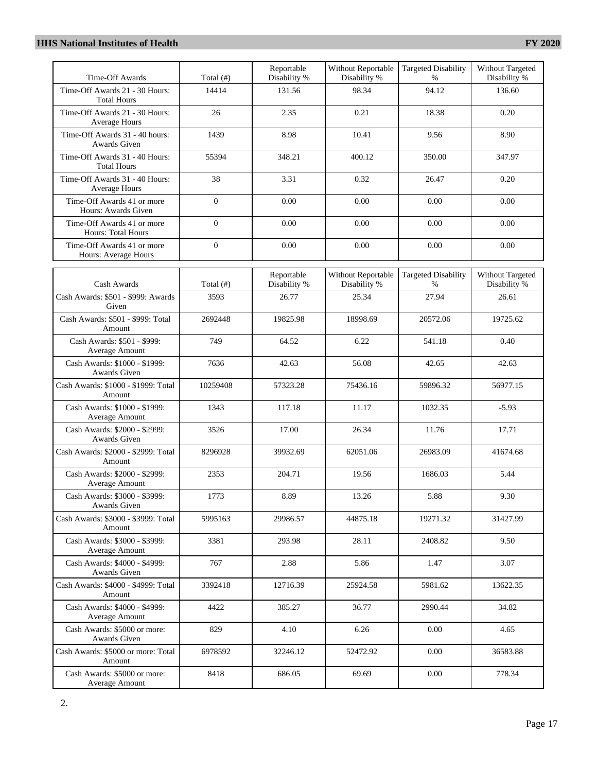| Time-Off Awards                                         | Total $($ # $)$   | Reportable<br>Disability % | Without Reportable<br>Disability % | <b>Targeted Disability</b><br>$\%$ | Without Targeted<br>Disability % |
|---------------------------------------------------------|-------------------|----------------------------|------------------------------------|------------------------------------|----------------------------------|
| Time-Off Awards 21 - 30 Hours:<br><b>Total Hours</b>    | 14414             | 131.56                     | 98.34                              | 94.12                              | 136.60                           |
| Time-Off Awards 21 - 30 Hours:<br>Average Hours         | 26                | 2.35                       | 0.21                               | 18.38                              | 0.20                             |
| Time-Off Awards 31 - 40 hours:<br>Awards Given          | 1439              | 8.98                       | 10.41                              | 9.56                               | 8.90                             |
| Time-Off Awards 31 - 40 Hours:<br><b>Total Hours</b>    | 55394             | 348.21                     | 400.12                             | 350.00                             | 347.97                           |
| Time-Off Awards 31 - 40 Hours:<br>Average Hours         | 38                | 3.31                       | 0.32                               | 26.47                              | 0.20                             |
| Time-Off Awards 41 or more<br>Hours: Awards Given       | $\boldsymbol{0}$  | 0.00                       | 0.00                               | 0.00                               | 0.00                             |
| Time-Off Awards 41 or more<br><b>Hours: Total Hours</b> | $\mathbf{0}$      | 0.00                       | 0.00                               | 0.00                               | 0.00                             |
| Time-Off Awards 41 or more<br>Hours: Average Hours      | $\mathbf{0}$      | 0.00                       | 0.00                               | 0.00                               | 0.00                             |
|                                                         |                   | Reportable                 | Without Reportable                 | <b>Targeted Disability</b>         | Without Targeted                 |
| Cash Awards<br>Cash Awards: \$501 - \$999: Awards       | Total (#)<br>3593 | Disability %<br>26.77      | Disability %<br>25.34              | %<br>27.94                         | Disability %<br>26.61            |
| Given                                                   |                   |                            |                                    |                                    |                                  |
| Cash Awards: \$501 - \$999: Total<br>Amount             | 2692448           | 19825.98                   | 18998.69                           | 20572.06                           | 19725.62                         |
| Cash Awards: \$501 - \$999:<br>Average Amount           | 749               | 64.52                      | 6.22                               | 541.18                             | 0.40                             |
| Cash Awards: \$1000 - \$1999:<br>Awards Given           | 7636              | 42.63                      | 56.08                              | 42.65                              | 42.63                            |
| Cash Awards: \$1000 - \$1999: Total<br>Amount           | 10259408          | 57323.28                   | 75436.16                           | 59896.32                           | 56977.15                         |
| Cash Awards: \$1000 - \$1999:<br>Average Amount         | 1343              | 117.18                     | 11.17                              | 1032.35                            | $-5.93$                          |
| Cash Awards: \$2000 - \$2999:<br><b>Awards Given</b>    | 3526              | 17.00                      | 26.34                              | 11.76                              | 17.71                            |
| Cash Awards: \$2000 - \$2999: Total<br>Amount           | 8296928           | 39932.69                   | 62051.06                           | 26983.09                           | 41674.68                         |
| Cash Awards: \$2000 - \$2999:<br>Average Amount         | 2353              | 204.71                     | 19.56                              | 1686.03                            | 5.44                             |
| Cash Awards: \$3000 - \$3999:<br>Awards Given           | 1773              | 8.89                       | 13.26                              | 5.88                               | 9.30                             |
| Cash Awards: \$3000 - \$3999: Total<br>Amount           | 5995163           | 29986.57                   | 44875.18                           | 19271.32                           | 31427.99                         |
| Cash Awards: \$3000 - \$3999:<br>Average Amount         | 3381              | 293.98                     | 28.11                              | 2408.82                            | 9.50                             |
| Cash Awards: \$4000 - \$4999:<br>Awards Given           | 767               | 2.88                       | 5.86                               | 1.47                               | 3.07                             |
| Cash Awards: \$4000 - \$4999: Total<br>Amount           | 3392418           | 12716.39                   | 25924.58                           | 5981.62                            | 13622.35                         |
| Cash Awards: \$4000 - \$4999:<br>Average Amount         | 4422              | 385.27                     | 36.77                              | 2990.44                            | 34.82                            |
| Cash Awards: \$5000 or more:<br>Awards Given            | 829               | 4.10                       | 6.26                               | 0.00                               | 4.65                             |
| Cash Awards: \$5000 or more: Total<br>Amount            | 6978592           | 32246.12                   | 52472.92                           | 0.00                               | 36583.88                         |
| Cash Awards: \$5000 or more:<br>Average Amount          | 8418              | 686.05                     | 69.69                              | 0.00                               | 778.34                           |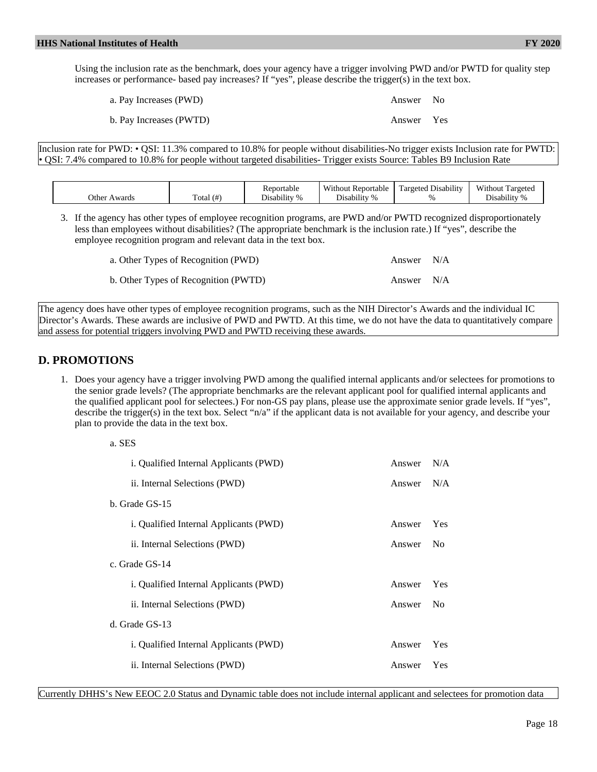Using the inclusion rate as the benchmark, does your agency have a trigger involving PWD and/or PWTD for quality step increases or performance- based pay increases? If "yes", please describe the trigger(s) in the text box.

| a. Pay Increases (PWD)  | Answer No  |  |
|-------------------------|------------|--|
| b. Pay Increases (PWTD) | Answer Yes |  |

Inclusion rate for PWD: • QSI: 11.3% compared to 10.8% for people without disabilities-No trigger exists Inclusion rate for PWTD: • QSI: 7.4% compared to 10.8% for people without targeted disabilities- Trigger exists Source: Tables B9 Inclusion Rate

| Other Awards | Total $(\#)$ | Reportable<br>$\cdots$<br>Jisability<br>$\%$ | <b>Without Reportable</b><br>.<br>$\%$<br>Disability | l Disabilitv<br>Targeted<br>$\Omega$ | Without<br>Targeted<br>Disability |
|--------------|--------------|----------------------------------------------|------------------------------------------------------|--------------------------------------|-----------------------------------|
|--------------|--------------|----------------------------------------------|------------------------------------------------------|--------------------------------------|-----------------------------------|

3. If the agency has other types of employee recognition programs, are PWD and/or PWTD recognized disproportionately less than employees without disabilities? (The appropriate benchmark is the inclusion rate.) If "yes", describe the employee recognition program and relevant data in the text box.

| a. Other Types of Recognition (PWD)  | Answer N/A |  |
|--------------------------------------|------------|--|
| b. Other Types of Recognition (PWTD) | Answer N/A |  |

The agency does have other types of employee recognition programs, such as the NIH Director's Awards and the individual IC Director's Awards. These awards are inclusive of PWD and PWTD. At this time, we do not have the data to quantitatively compare and assess for potential triggers involving PWD and PWTD receiving these awards.

#### **D. PROMOTIONS**

a. SES

1. Does your agency have a trigger involving PWD among the qualified internal applicants and/or selectees for promotions to the senior grade levels? (The appropriate benchmarks are the relevant applicant pool for qualified internal applicants and the qualified applicant pool for selectees.) For non-GS pay plans, please use the approximate senior grade levels. If "yes", describe the trigger(s) in the text box. Select "n/a" if the applicant data is not available for your agency, and describe your plan to provide the data in the text box.

| i. Qualified Internal Applicants (PWD) | Answer | N/A            |
|----------------------------------------|--------|----------------|
| ii. Internal Selections (PWD)          | Answer | N/A            |
| b. Grade GS-15                         |        |                |
| i. Qualified Internal Applicants (PWD) | Answer | Yes            |
| ii. Internal Selections (PWD)          | Answer | N <sub>o</sub> |
| c. Grade GS-14                         |        |                |
| i. Qualified Internal Applicants (PWD) | Answer | Yes            |
| ii. Internal Selections (PWD)          | Answer | N <sub>0</sub> |
| d. Grade GS-13                         |        |                |
| i. Qualified Internal Applicants (PWD) | Answer | Yes            |
| ii. Internal Selections (PWD)          | Answer | Yes            |
|                                        |        |                |

Currently DHHS's New EEOC 2.0 Status and Dynamic table does not include internal applicant and selectees for promotion data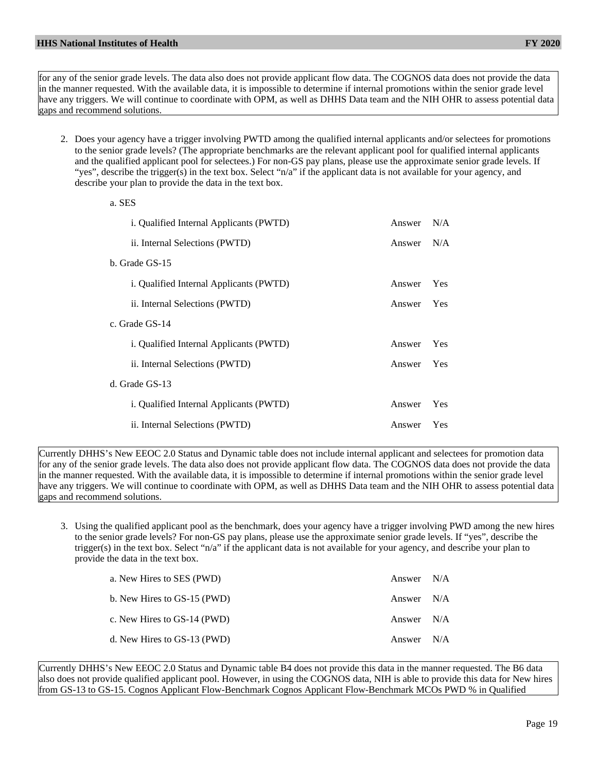a. SES

for any of the senior grade levels. The data also does not provide applicant flow data. The COGNOS data does not provide the data in the manner requested. With the available data, it is impossible to determine if internal promotions within the senior grade level have any triggers. We will continue to coordinate with OPM, as well as DHHS Data team and the NIH OHR to assess potential data gaps and recommend solutions.

2. Does your agency have a trigger involving PWTD among the qualified internal applicants and/or selectees for promotions to the senior grade levels? (The appropriate benchmarks are the relevant applicant pool for qualified internal applicants and the qualified applicant pool for selectees.) For non-GS pay plans, please use the approximate senior grade levels. If "yes", describe the trigger(s) in the text box. Select "n/a" if the applicant data is not available for your agency, and describe your plan to provide the data in the text box.

| a. DED                                  |        |     |
|-----------------------------------------|--------|-----|
| i. Qualified Internal Applicants (PWTD) | Answer | N/A |
| ii. Internal Selections (PWTD)          | Answer | N/A |
| b. Grade GS-15                          |        |     |
| i. Qualified Internal Applicants (PWTD) | Answer | Yes |
| ii. Internal Selections (PWTD)          | Answer | Yes |
| c. Grade GS-14                          |        |     |
| i. Qualified Internal Applicants (PWTD) | Answer | Yes |
| ii. Internal Selections (PWTD)          | Answer | Yes |
| d. Grade GS-13                          |        |     |
| i. Qualified Internal Applicants (PWTD) | Answer | Yes |
| ii. Internal Selections (PWTD)          | Answer | Yes |
|                                         |        |     |

Currently DHHS's New EEOC 2.0 Status and Dynamic table does not include internal applicant and selectees for promotion data for any of the senior grade levels. The data also does not provide applicant flow data. The COGNOS data does not provide the data in the manner requested. With the available data, it is impossible to determine if internal promotions within the senior grade level have any triggers. We will continue to coordinate with OPM, as well as DHHS Data team and the NIH OHR to assess potential data gaps and recommend solutions.

3. Using the qualified applicant pool as the benchmark, does your agency have a trigger involving PWD among the new hires to the senior grade levels? For non-GS pay plans, please use the approximate senior grade levels. If "yes", describe the trigger(s) in the text box. Select "n/a" if the applicant data is not available for your agency, and describe your plan to provide the data in the text box.

| a. New Hires to SES (PWD)   | Answer N/A |  |
|-----------------------------|------------|--|
| b. New Hires to GS-15 (PWD) | Answer N/A |  |
| c. New Hires to GS-14 (PWD) | Answer N/A |  |
| d. New Hires to GS-13 (PWD) | Answer N/A |  |

Currently DHHS's New EEOC 2.0 Status and Dynamic table B4 does not provide this data in the manner requested. The B6 data also does not provide qualified applicant pool. However, in using the COGNOS data, NIH is able to provide this data for New hires from GS-13 to GS-15. Cognos Applicant Flow-Benchmark Cognos Applicant Flow-Benchmark MCOs PWD % in Qualified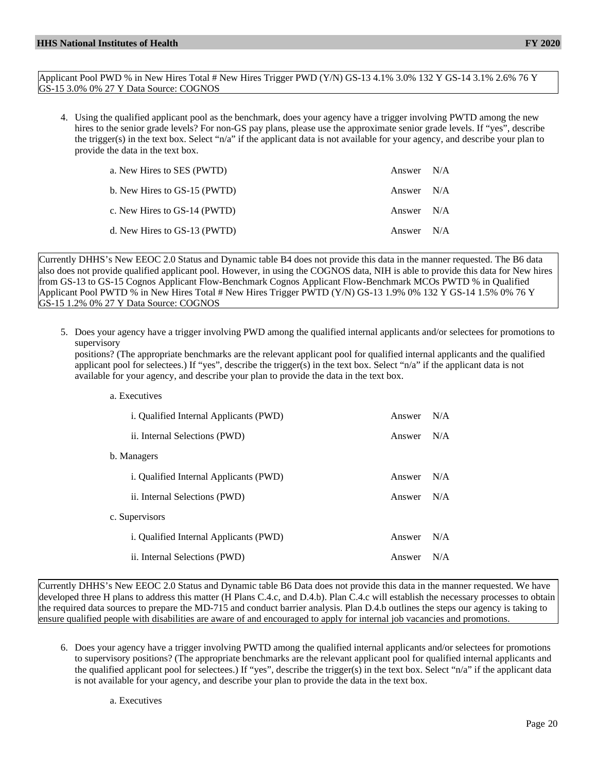Applicant Pool PWD % in New Hires Total # New Hires Trigger PWD (Y/N) GS-13 4.1% 3.0% 132 Y GS-14 3.1% 2.6% 76 Y GS-15 3.0% 0% 27 Y Data Source: COGNOS

4. Using the qualified applicant pool as the benchmark, does your agency have a trigger involving PWTD among the new hires to the senior grade levels? For non-GS pay plans, please use the approximate senior grade levels. If "yes", describe the trigger(s) in the text box. Select "n/a" if the applicant data is not available for your agency, and describe your plan to provide the data in the text box.

| a. New Hires to SES (PWTD)   | Answer N/A |  |
|------------------------------|------------|--|
| b. New Hires to GS-15 (PWTD) | Answer N/A |  |
| c. New Hires to GS-14 (PWTD) | Answer N/A |  |
| d. New Hires to GS-13 (PWTD) | Answer N/A |  |

Currently DHHS's New EEOC 2.0 Status and Dynamic table B4 does not provide this data in the manner requested. The B6 data also does not provide qualified applicant pool. However, in using the COGNOS data, NIH is able to provide this data for New hires from GS-13 to GS-15 Cognos Applicant Flow-Benchmark Cognos Applicant Flow-Benchmark MCOs PWTD % in Qualified Applicant Pool PWTD % in New Hires Total # New Hires Trigger PWTD (Y/N) GS-13 1.9% 0% 132 Y GS-14 1.5% 0% 76 Y GS-15 1.2% 0% 27 Y Data Source: COGNOS

5. Does your agency have a trigger involving PWD among the qualified internal applicants and/or selectees for promotions to supervisory

positions? (The appropriate benchmarks are the relevant applicant pool for qualified internal applicants and the qualified applicant pool for selectees.) If "yes", describe the trigger(s) in the text box. Select "n/a" if the applicant data is not available for your agency, and describe your plan to provide the data in the text box.

a. Executives

| i. Qualified Internal Applicants (PWD)        | Answer N/A |     |
|-----------------------------------------------|------------|-----|
| ii. Internal Selections (PWD)                 | Answer     | N/A |
| b. Managers                                   |            |     |
| <i>i.</i> Qualified Internal Applicants (PWD) | Answer     | N/A |
| ii. Internal Selections (PWD)                 | Answer     | N/A |
| c. Supervisors                                |            |     |
| <i>i.</i> Qualified Internal Applicants (PWD) | Answer     | N/A |
| ii. Internal Selections (PWD)                 | Answer     | N/A |

Currently DHHS's New EEOC 2.0 Status and Dynamic table B6 Data does not provide this data in the manner requested. We have developed three H plans to address this matter (H Plans C.4.c, and D.4.b). Plan C.4.c will establish the necessary processes to obtain the required data sources to prepare the MD-715 and conduct barrier analysis. Plan D.4.b outlines the steps our agency is taking to ensure qualified people with disabilities are aware of and encouraged to apply for internal job vacancies and promotions.

6. Does your agency have a trigger involving PWTD among the qualified internal applicants and/or selectees for promotions to supervisory positions? (The appropriate benchmarks are the relevant applicant pool for qualified internal applicants and the qualified applicant pool for selectees.) If "yes", describe the trigger(s) in the text box. Select "n/a" if the applicant data is not available for your agency, and describe your plan to provide the data in the text box.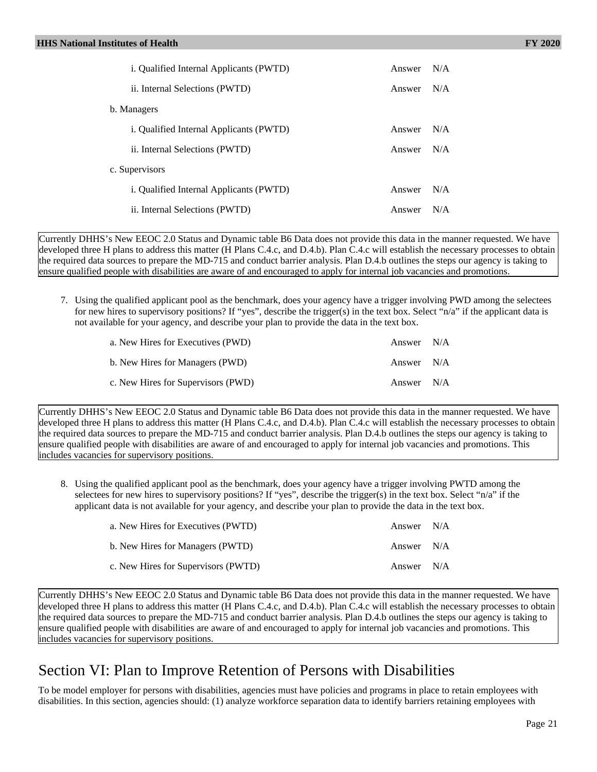| <i>i.</i> Qualified Internal Applicants (PWTD) | Answer | N/A |
|------------------------------------------------|--------|-----|
| ii. Internal Selections (PWTD)                 | Answer | N/A |
| b. Managers                                    |        |     |
| <i>i.</i> Qualified Internal Applicants (PWTD) | Answer | N/A |
| ii. Internal Selections (PWTD)                 | Answer | N/A |
| c. Supervisors                                 |        |     |
| <i>i.</i> Qualified Internal Applicants (PWTD) | Answer | N/A |
| ii. Internal Selections (PWTD)                 | Answer | N/A |

Currently DHHS's New EEOC 2.0 Status and Dynamic table B6 Data does not provide this data in the manner requested. We have developed three H plans to address this matter (H Plans C.4.c, and D.4.b). Plan C.4.c will establish the necessary processes to obtain the required data sources to prepare the MD-715 and conduct barrier analysis. Plan D.4.b outlines the steps our agency is taking to ensure qualified people with disabilities are aware of and encouraged to apply for internal job vacancies and promotions.

7. Using the qualified applicant pool as the benchmark, does your agency have a trigger involving PWD among the selectees for new hires to supervisory positions? If "yes", describe the trigger(s) in the text box. Select "n/a" if the applicant data is not available for your agency, and describe your plan to provide the data in the text box.

| a. New Hires for Executives (PWD)  | Answer N/A |  |
|------------------------------------|------------|--|
| b. New Hires for Managers (PWD)    | Answer N/A |  |
| c. New Hires for Supervisors (PWD) | Answer N/A |  |

Currently DHHS's New EEOC 2.0 Status and Dynamic table B6 Data does not provide this data in the manner requested. We have developed three H plans to address this matter (H Plans C.4.c, and D.4.b). Plan C.4.c will establish the necessary processes to obtain the required data sources to prepare the MD-715 and conduct barrier analysis. Plan D.4.b outlines the steps our agency is taking to ensure qualified people with disabilities are aware of and encouraged to apply for internal job vacancies and promotions. This includes vacancies for supervisory positions.

8. Using the qualified applicant pool as the benchmark, does your agency have a trigger involving PWTD among the selectees for new hires to supervisory positions? If "yes", describe the trigger(s) in the text box. Select "n/a" if the applicant data is not available for your agency, and describe your plan to provide the data in the text box.

| a. New Hires for Executives (PWTD)  | Answer $N/A$ |  |
|-------------------------------------|--------------|--|
| b. New Hires for Managers (PWTD)    | Answer N/A   |  |
| c. New Hires for Supervisors (PWTD) | Answer N/A   |  |

Currently DHHS's New EEOC 2.0 Status and Dynamic table B6 Data does not provide this data in the manner requested. We have developed three H plans to address this matter (H Plans C.4.c, and D.4.b). Plan C.4.c will establish the necessary processes to obtain the required data sources to prepare the MD-715 and conduct barrier analysis. Plan D.4.b outlines the steps our agency is taking to ensure qualified people with disabilities are aware of and encouraged to apply for internal job vacancies and promotions. This includes vacancies for supervisory positions.

# Section VI: Plan to Improve Retention of Persons with Disabilities

To be model employer for persons with disabilities, agencies must have policies and programs in place to retain employees with disabilities. In this section, agencies should: (1) analyze workforce separation data to identify barriers retaining employees with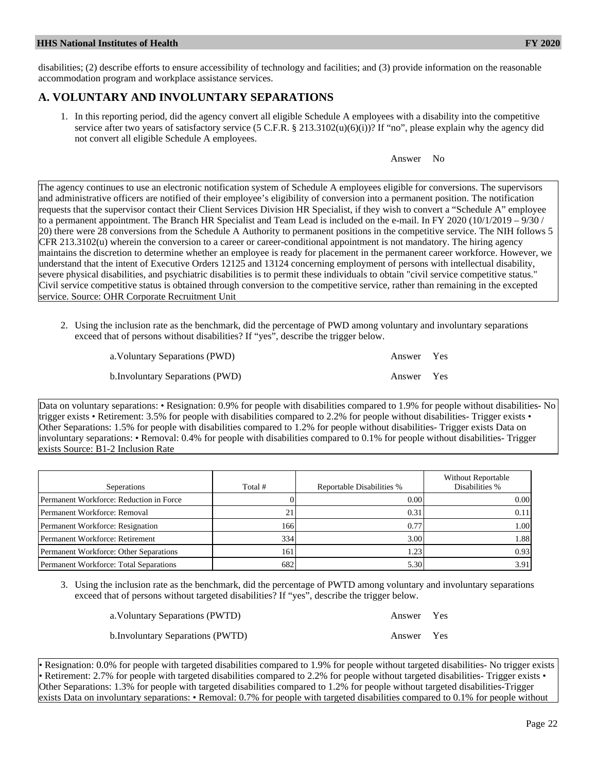disabilities; (2) describe efforts to ensure accessibility of technology and facilities; and (3) provide information on the reasonable accommodation program and workplace assistance services.

### **A. VOLUNTARY AND INVOLUNTARY SEPARATIONS**

1. In this reporting period, did the agency convert all eligible Schedule A employees with a disability into the competitive service after two years of satisfactory service (5 C.F.R.  $\S$  213.3102(u)(6)(i))? If "no", please explain why the agency did not convert all eligible Schedule A employees.

Answer No

The agency continues to use an electronic notification system of Schedule A employees eligible for conversions. The supervisors and administrative officers are notified of their employee's eligibility of conversion into a permanent position. The notification requests that the supervisor contact their Client Services Division HR Specialist, if they wish to convert a "Schedule A" employee to a permanent appointment. The Branch HR Specialist and Team Lead is included on the e-mail. In FY 2020 (10/1/2019 – 9/30 / 20) there were 28 conversions from the Schedule A Authority to permanent positions in the competitive service. The NIH follows 5 CFR 213.3102(u) wherein the conversion to a career or career-conditional appointment is not mandatory. The hiring agency maintains the discretion to determine whether an employee is ready for placement in the permanent career workforce. However, we understand that the intent of Executive Orders 12125 and 13124 concerning employment of persons with intellectual disability, severe physical disabilities, and psychiatric disabilities is to permit these individuals to obtain "civil service competitive status." Civil service competitive status is obtained through conversion to the competitive service, rather than remaining in the excepted service. Source: OHR Corporate Recruitment Unit

2. Using the inclusion rate as the benchmark, did the percentage of PWD among voluntary and involuntary separations exceed that of persons without disabilities? If "yes", describe the trigger below.

| a. Voluntary Separations (PWD)   | Answer Yes |  |
|----------------------------------|------------|--|
| b. Involuntary Separations (PWD) | Answer Yes |  |

Data on voluntary separations: • Resignation: 0.9% for people with disabilities compared to 1.9% for people without disabilities- No trigger exists • Retirement: 3.5% for people with disabilities compared to 2.2% for people without disabilities- Trigger exists • Other Separations: 1.5% for people with disabilities compared to 1.2% for people without disabilities- Trigger exists Data on involuntary separations: • Removal: 0.4% for people with disabilities compared to 0.1% for people without disabilities- Trigger exists Source: B1-2 Inclusion Rate

| Seperations                             | Total # | Reportable Disabilities % | <b>Without Reportable</b><br>Disabilities % |
|-----------------------------------------|---------|---------------------------|---------------------------------------------|
| Permanent Workforce: Reduction in Force |         | 0.00                      | 0.001                                       |
| Permanent Workforce: Removal            | 21      | 0.31                      | 0.11                                        |
| Permanent Workforce: Resignation        | 1661    | 0.77                      | 1.001                                       |
| Permanent Workforce: Retirement         | 334     | 3.00                      | l.881                                       |
| Permanent Workforce: Other Separations  | 161     | 1.23                      | 0.93                                        |
| Permanent Workforce: Total Separations  | 682     | 5.30                      | 3.91 <sup> </sup>                           |

3. Using the inclusion rate as the benchmark, did the percentage of PWTD among voluntary and involuntary separations exceed that of persons without targeted disabilities? If "yes", describe the trigger below.

| a. Voluntary Separations (PWTD)         | Answer Yes |  |
|-----------------------------------------|------------|--|
| <b>b.Involuntary Separations (PWTD)</b> | Answer Yes |  |

• Resignation: 0.0% for people with targeted disabilities compared to 1.9% for people without targeted disabilities- No trigger exists • Retirement: 2.7% for people with targeted disabilities compared to 2.2% for people without targeted disabilities- Trigger exists • Other Separations: 1.3% for people with targeted disabilities compared to 1.2% for people without targeted disabilities-Trigger exists Data on involuntary separations: • Removal: 0.7% for people with targeted disabilities compared to 0.1% for people without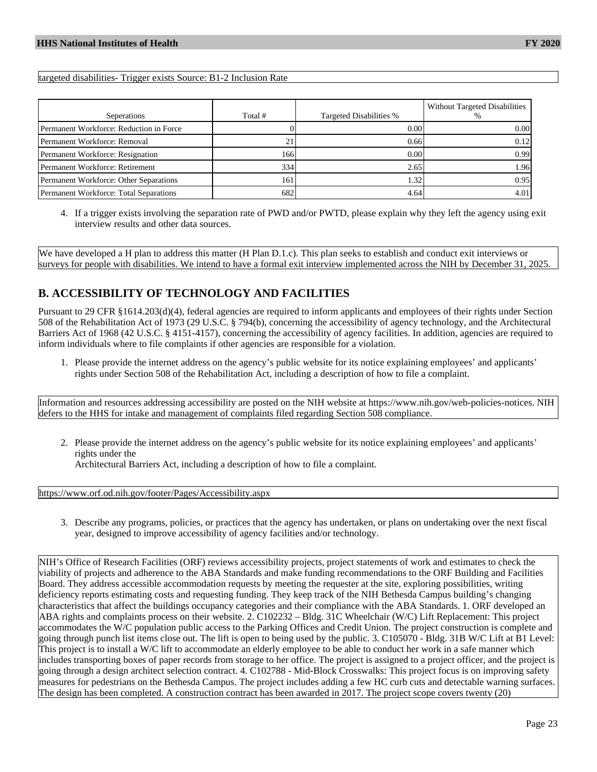#### targeted disabilities- Trigger exists Source: B1-2 Inclusion Rate

| Seperations                             | Total # | Targeted Disabilities % | Without Targeted Disabilities |
|-----------------------------------------|---------|-------------------------|-------------------------------|
| Permanent Workforce: Reduction in Force |         | 0.00                    | 0.001                         |
| Permanent Workforce: Removal            |         | 0.66                    | 0.12                          |
| Permanent Workforce: Resignation        | 1661    | 0.00                    | 0.991                         |
| Permanent Workforce: Retirement         | 334     | 2.65                    | 1.96I                         |
| Permanent Workforce: Other Separations  | 161     | 1.32                    | 0.95                          |
| Permanent Workforce: Total Separations  | 682     | 4.64                    | 4.01                          |

4. If a trigger exists involving the separation rate of PWD and/or PWTD, please explain why they left the agency using exit interview results and other data sources.

We have developed a H plan to address this matter (H Plan D.1.c). This plan seeks to establish and conduct exit interviews or surveys for people with disabilities. We intend to have a formal exit interview implemented across the NIH by December 31, 2025.

#### **B. ACCESSIBILITY OF TECHNOLOGY AND FACILITIES**

Pursuant to 29 CFR §1614.203(d)(4), federal agencies are required to inform applicants and employees of their rights under Section 508 of the Rehabilitation Act of 1973 (29 U.S.C. § 794(b), concerning the accessibility of agency technology, and the Architectural Barriers Act of 1968 (42 U.S.C. § 4151-4157), concerning the accessibility of agency facilities. In addition, agencies are required to inform individuals where to file complaints if other agencies are responsible for a violation.

1. Please provide the internet address on the agency's public website for its notice explaining employees' and applicants' rights under Section 508 of the Rehabilitation Act, including a description of how to file a complaint.

Information and resources addressing accessibility are posted on the NIH website at https://www.nih.gov/web-policies-notices. NIH defers to the HHS for intake and management of complaints filed regarding Section 508 compliance.

2. Please provide the internet address on the agency's public website for its notice explaining employees' and applicants' rights under the

Architectural Barriers Act, including a description of how to file a complaint.

<https://www.orf.od.nih.gov/footer/Pages/Accessibility.aspx>

3. Describe any programs, policies, or practices that the agency has undertaken, or plans on undertaking over the next fiscal year, designed to improve accessibility of agency facilities and/or technology.

NIH's Office of Research Facilities (ORF) reviews accessibility projects, project statements of work and estimates to check the viability of projects and adherence to the ABA Standards and make funding recommendations to the ORF Building and Facilities Board. They address accessible accommodation requests by meeting the requester at the site, exploring possibilities, writing deficiency reports estimating costs and requesting funding. They keep track of the NIH Bethesda Campus building's changing characteristics that affect the buildings occupancy categories and their compliance with the ABA Standards. 1. ORF developed an ABA rights and complaints process on their website. 2. C102232 – Bldg. 31C Wheelchair (W/C) Lift Replacement: This project accommodates the W/C population public access to the Parking Offices and Credit Union. The project construction is complete and going through punch list items close out. The lift is open to being used by the public. 3. C105070 - Bldg. 31B W/C Lift at B1 Level: This project is to install a W/C lift to accommodate an elderly employee to be able to conduct her work in a safe manner which includes transporting boxes of paper records from storage to her office. The project is assigned to a project officer, and the project is going through a design architect selection contract. 4. C102788 - Mid-Block Crosswalks: This project focus is on improving safety measures for pedestrians on the Bethesda Campus. The project includes adding a few HC curb cuts and detectable warning surfaces. The design has been completed. A construction contract has been awarded in 2017. The project scope covers twenty (20)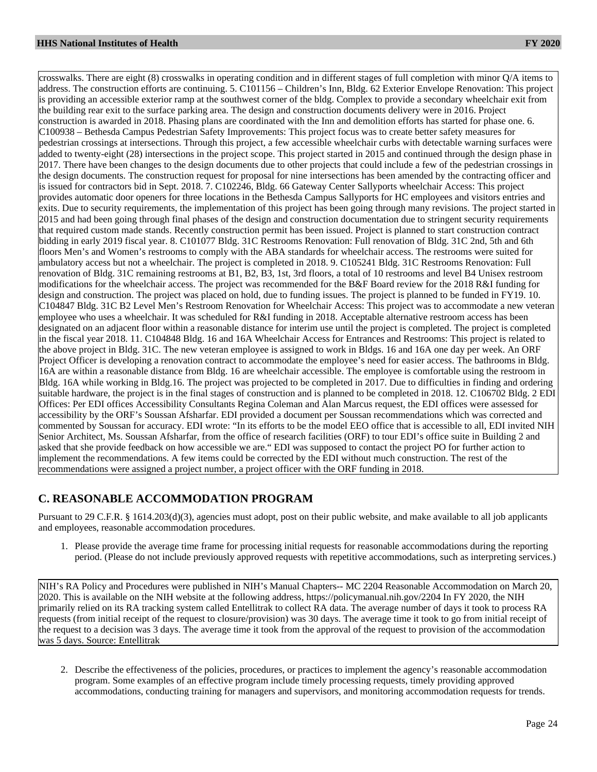crosswalks. There are eight (8) crosswalks in operating condition and in different stages of full completion with minor Q/A items to address. The construction efforts are continuing. 5. C101156 – Children's Inn, Bldg. 62 Exterior Envelope Renovation: This project is providing an accessible exterior ramp at the southwest corner of the bldg. Complex to provide a secondary wheelchair exit from the building rear exit to the surface parking area. The design and construction documents delivery were in 2016. Project construction is awarded in 2018. Phasing plans are coordinated with the Inn and demolition efforts has started for phase one. 6. C100938 – Bethesda Campus Pedestrian Safety Improvements: This project focus was to create better safety measures for pedestrian crossings at intersections. Through this project, a few accessible wheelchair curbs with detectable warning surfaces were added to twenty-eight (28) intersections in the project scope. This project started in 2015 and continued through the design phase in 2017. There have been changes to the design documents due to other projects that could include a few of the pedestrian crossings in the design documents. The construction request for proposal for nine intersections has been amended by the contracting officer and is issued for contractors bid in Sept. 2018. 7. C102246, Bldg. 66 Gateway Center Sallyports wheelchair Access: This project provides automatic door openers for three locations in the Bethesda Campus Sallyports for HC employees and visitors entries and exits. Due to security requirements, the implementation of this project has been going through many revisions. The project started in 2015 and had been going through final phases of the design and construction documentation due to stringent security requirements that required custom made stands. Recently construction permit has been issued. Project is planned to start construction contract bidding in early 2019 fiscal year. 8. C101077 Bldg. 31C Restrooms Renovation: Full renovation of Bldg. 31C 2nd, 5th and 6th floors Men's and Women's restrooms to comply with the ABA standards for wheelchair access. The restrooms were suited for ambulatory access but not a wheelchair. The project is completed in 2018. 9. C105241 Bldg. 31C Restrooms Renovation: Full renovation of Bldg. 31C remaining restrooms at B1, B2, B3, 1st, 3rd floors, a total of 10 restrooms and level B4 Unisex restroom modifications for the wheelchair access. The project was recommended for the B&F Board review for the 2018 R&I funding for design and construction. The project was placed on hold, due to funding issues. The project is planned to be funded in FY19. 10. C104847 Bldg. 31C B2 Level Men's Restroom Renovation for Wheelchair Access: This project was to accommodate a new veteran employee who uses a wheelchair. It was scheduled for R&I funding in 2018. Acceptable alternative restroom access has been designated on an adjacent floor within a reasonable distance for interim use until the project is completed. The project is completed in the fiscal year 2018. 11. C104848 Bldg. 16 and 16A Wheelchair Access for Entrances and Restrooms: This project is related to the above project in Bldg. 31C. The new veteran employee is assigned to work in Bldgs. 16 and 16A one day per week. An ORF Project Officer is developing a renovation contract to accommodate the employee's need for easier access. The bathrooms in Bldg. 16A are within a reasonable distance from Bldg. 16 are wheelchair accessible. The employee is comfortable using the restroom in Bldg. 16A while working in Bldg.16. The project was projected to be completed in 2017. Due to difficulties in finding and ordering suitable hardware, the project is in the final stages of construction and is planned to be completed in 2018. 12. C106702 Bldg. 2 EDI Offices: Per EDI offices Accessibility Consultants Regina Coleman and Alan Marcus request, the EDI offices were assessed for accessibility by the ORF's Soussan Afsharfar. EDI provided a document per Soussan recommendations which was corrected and commented by Soussan for accuracy. EDI wrote: "In its efforts to be the model EEO office that is accessible to all, EDI invited NIH Senior Architect, Ms. Soussan Afsharfar, from the office of research facilities (ORF) to tour EDI's office suite in Building 2 and asked that she provide feedback on how accessible we are." EDI was supposed to contact the project PO for further action to implement the recommendations. A few items could be corrected by the EDI without much construction. The rest of the recommendations were assigned a project number, a project officer with the ORF funding in 2018.

#### **C. REASONABLE ACCOMMODATION PROGRAM**

Pursuant to 29 C.F.R. § 1614.203(d)(3), agencies must adopt, post on their public website, and make available to all job applicants and employees, reasonable accommodation procedures.

1. Please provide the average time frame for processing initial requests for reasonable accommodations during the reporting period. (Please do not include previously approved requests with repetitive accommodations, such as interpreting services.)

NIH's RA Policy and Procedures were published in NIH's Manual Chapters-- MC 2204 Reasonable Accommodation on March 20, 2020. This is available on the NIH website at the following address, https://policymanual.nih.gov/2204 In FY 2020, the NIH primarily relied on its RA tracking system called Entellitrak to collect RA data. The average number of days it took to process RA requests (from initial receipt of the request to closure/provision) was 30 days. The average time it took to go from initial receipt of the request to a decision was 3 days. The average time it took from the approval of the request to provision of the accommodation was 5 days. Source: Entellitrak

2. Describe the effectiveness of the policies, procedures, or practices to implement the agency's reasonable accommodation program. Some examples of an effective program include timely processing requests, timely providing approved accommodations, conducting training for managers and supervisors, and monitoring accommodation requests for trends.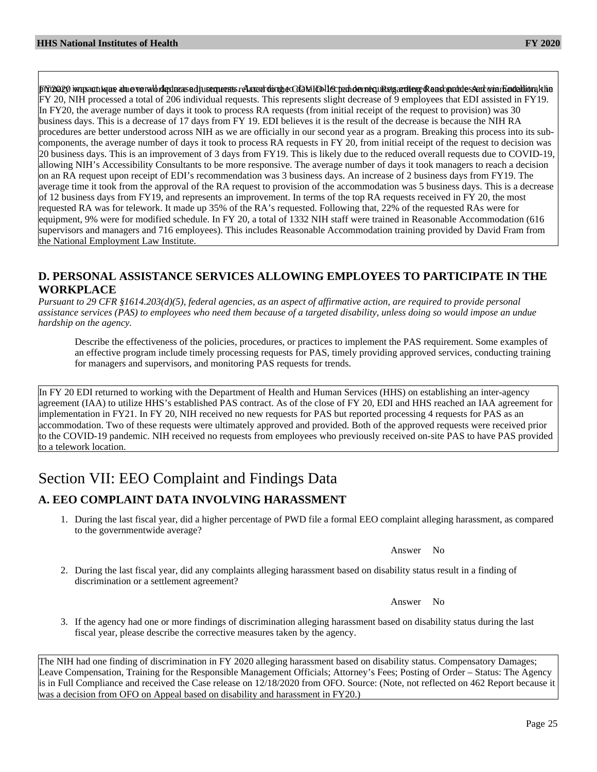Fifring200 iwqsachiyas ahue verwibdedraasad jurequerts related dorthe Cd2MID11ected demecuRstgardiere Rensonables Aad vin Hadaltion khe FY 20, NIH processed a total of 206 individual requests. This represents slight decrease of 9 employees that EDI assisted in FY19. In FY20, the average number of days it took to process RA requests (from initial receipt of the request to provision) was 30 business days. This is a decrease of 17 days from FY 19. EDI believes it is the result of the decrease is because the NIH RA procedures are better understood across NIH as we are officially in our second year as a program. Breaking this process into its subcomponents, the average number of days it took to process RA requests in FY 20, from initial receipt of the request to decision was 20 business days. This is an improvement of 3 days from FY19. This is likely due to the reduced overall requests due to COVID-19, allowing NIH's Accessibility Consultants to be more responsive. The average number of days it took managers to reach a decision on an RA request upon receipt of EDI's recommendation was 3 business days. An increase of 2 business days from FY19. The average time it took from the approval of the RA request to provision of the accommodation was 5 business days. This is a decrease of 12 business days from FY19, and represents an improvement. In terms of the top RA requests received in FY 20, the most requested RA was for telework. It made up 35% of the RA's requested. Following that, 22% of the requested RAs were for equipment, 9% were for modified schedule. In FY 20, a total of 1332 NIH staff were trained in Reasonable Accommodation (616 supervisors and managers and 716 employees). This includes Reasonable Accommodation training provided by David Fram from the National Employment Law Institute.

#### **D. PERSONAL ASSISTANCE SERVICES ALLOWING EMPLOYEES TO PARTICIPATE IN THE WORKPLACE**

*Pursuant to 29 CFR §1614.203(d)(5), federal agencies, as an aspect of affirmative action, are required to provide personal assistance services (PAS) to employees who need them because of a targeted disability, unless doing so would impose an undue hardship on the agency.*

Describe the effectiveness of the policies, procedures, or practices to implement the PAS requirement. Some examples of an effective program include timely processing requests for PAS, timely providing approved services, conducting training for managers and supervisors, and monitoring PAS requests for trends.

In FY 20 EDI returned to working with the Department of Health and Human Services (HHS) on establishing an inter-agency agreement (IAA) to utilize HHS's established PAS contract. As of the close of FY 20, EDI and HHS reached an IAA agreement for implementation in FY21. In FY 20, NIH received no new requests for PAS but reported processing 4 requests for PAS as an accommodation. Two of these requests were ultimately approved and provided. Both of the approved requests were received prior to the COVID-19 pandemic. NIH received no requests from employees who previously received on-site PAS to have PAS provided to a telework location.

# Section VII: EEO Complaint and Findings Data

## **A. EEO COMPLAINT DATA INVOLVING HARASSMENT**

1. During the last fiscal year, did a higher percentage of PWD file a formal EEO complaint alleging harassment, as compared to the governmentwide average?

Answer No

2. During the last fiscal year, did any complaints alleging harassment based on disability status result in a finding of discrimination or a settlement agreement?

Answer No

3. If the agency had one or more findings of discrimination alleging harassment based on disability status during the last fiscal year, please describe the corrective measures taken by the agency.

The NIH had one finding of discrimination in FY 2020 alleging harassment based on disability status. Compensatory Damages; Leave Compensation, Training for the Responsible Management Officials; Attorney's Fees; Posting of Order – Status: The Agency is in Full Compliance and received the Case release on 12/18/2020 from OFO. Source: (Note, not reflected on 462 Report because it was a decision from OFO on Appeal based on disability and harassment in FY20.)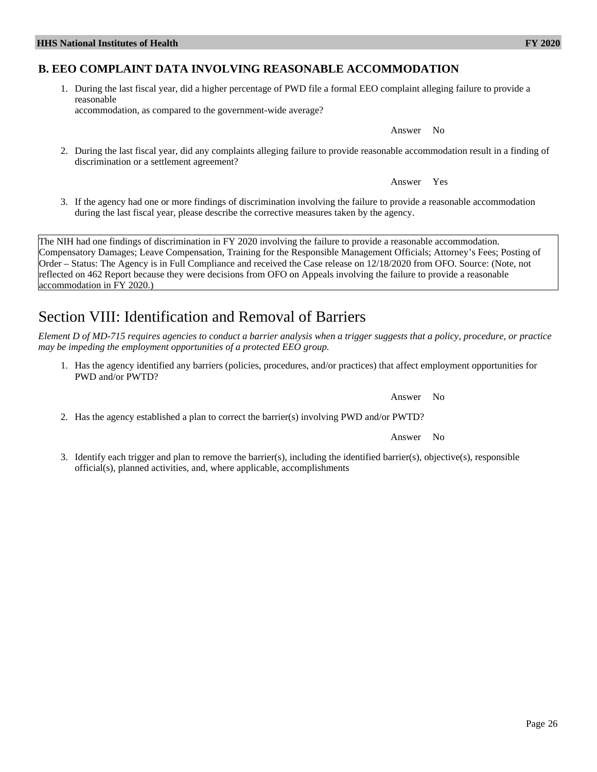## **B. EEO COMPLAINT DATA INVOLVING REASONABLE ACCOMMODATION**

1. During the last fiscal year, did a higher percentage of PWD file a formal EEO complaint alleging failure to provide a reasonable accommodation, as compared to the government-wide average?

Answer No

2. During the last fiscal year, did any complaints alleging failure to provide reasonable accommodation result in a finding of discrimination or a settlement agreement?

Answer Yes

3. If the agency had one or more findings of discrimination involving the failure to provide a reasonable accommodation during the last fiscal year, please describe the corrective measures taken by the agency.

The NIH had one findings of discrimination in FY 2020 involving the failure to provide a reasonable accommodation. Compensatory Damages; Leave Compensation, Training for the Responsible Management Officials; Attorney's Fees; Posting of Order – Status: The Agency is in Full Compliance and received the Case release on 12/18/2020 from OFO. Source: (Note, not reflected on 462 Report because they were decisions from OFO on Appeals involving the failure to provide a reasonable accommodation in FY 2020.)

## Section VIII: Identification and Removal of Barriers

*Element D of MD-715 requires agencies to conduct a barrier analysis when a trigger suggests that a policy, procedure, or practice may be impeding the employment opportunities of a protected EEO group.*

1. Has the agency identified any barriers (policies, procedures, and/or practices) that affect employment opportunities for PWD and/or PWTD?

2. Has the agency established a plan to correct the barrier(s) involving PWD and/or PWTD?

Answer No

3. Identify each trigger and plan to remove the barrier(s), including the identified barrier(s), objective(s), responsible official(s), planned activities, and, where applicable, accomplishments

Answer No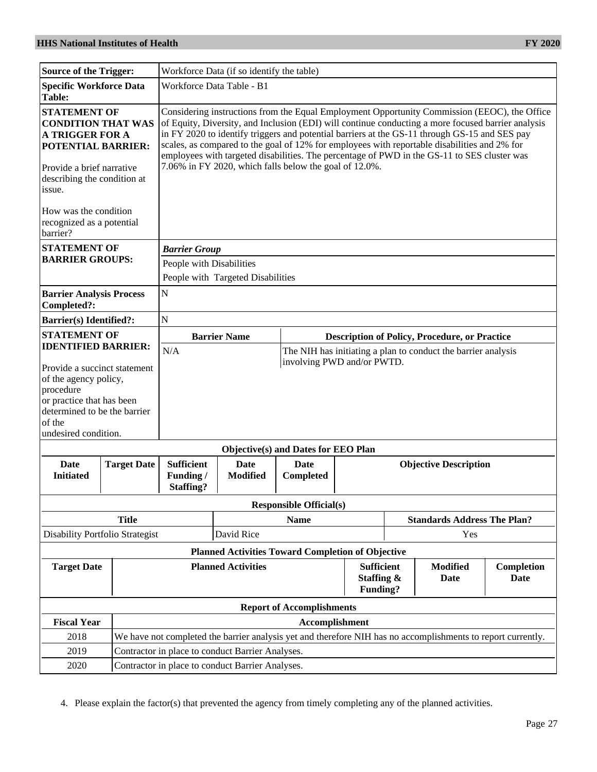| <b>Source of the Trigger:</b>                                                                                                                                                                                                                                                                         |                                                  | Workforce Data (if so identify the table)                                                                                                                                                                                                                                                                                                                                                                                                                                                                                                                    |                                                          |                                     |                                |                                                      |  |  |
|-------------------------------------------------------------------------------------------------------------------------------------------------------------------------------------------------------------------------------------------------------------------------------------------------------|--------------------------------------------------|--------------------------------------------------------------------------------------------------------------------------------------------------------------------------------------------------------------------------------------------------------------------------------------------------------------------------------------------------------------------------------------------------------------------------------------------------------------------------------------------------------------------------------------------------------------|----------------------------------------------------------|-------------------------------------|--------------------------------|------------------------------------------------------|--|--|
| <b>Specific Workforce Data</b><br><b>Table:</b>                                                                                                                                                                                                                                                       |                                                  | Workforce Data Table - B1                                                                                                                                                                                                                                                                                                                                                                                                                                                                                                                                    |                                                          |                                     |                                |                                                      |  |  |
| <b>STATEMENT OF</b><br><b>CONDITION THAT WAS</b><br><b>A TRIGGER FOR A</b><br><b>POTENTIAL BARRIER:</b><br>Provide a brief narrative<br>describing the condition at<br>issue.                                                                                                                         |                                                  | Considering instructions from the Equal Employment Opportunity Commission (EEOC), the Office<br>of Equity, Diversity, and Inclusion (EDI) will continue conducting a more focused barrier analysis<br>in FY 2020 to identify triggers and potential barriers at the GS-11 through GS-15 and SES pay<br>scales, as compared to the goal of 12% for employees with reportable disabilities and 2% for<br>employees with targeted disabilities. The percentage of PWD in the GS-11 to SES cluster was<br>7.06% in FY 2020, which falls below the goal of 12.0%. |                                                          |                                     |                                |                                                      |  |  |
| How was the condition<br>recognized as a potential<br>barrier?                                                                                                                                                                                                                                        |                                                  |                                                                                                                                                                                                                                                                                                                                                                                                                                                                                                                                                              |                                                          |                                     |                                |                                                      |  |  |
| <b>STATEMENT OF</b>                                                                                                                                                                                                                                                                                   |                                                  | <b>Barrier Group</b>                                                                                                                                                                                                                                                                                                                                                                                                                                                                                                                                         |                                                          |                                     |                                |                                                      |  |  |
| <b>BARRIER GROUPS:</b>                                                                                                                                                                                                                                                                                |                                                  | People with Disabilities                                                                                                                                                                                                                                                                                                                                                                                                                                                                                                                                     |                                                          |                                     |                                |                                                      |  |  |
|                                                                                                                                                                                                                                                                                                       |                                                  | People with Targeted Disabilities                                                                                                                                                                                                                                                                                                                                                                                                                                                                                                                            |                                                          |                                     |                                |                                                      |  |  |
| <b>Barrier Analysis Process</b><br>Completed?:                                                                                                                                                                                                                                                        |                                                  | N                                                                                                                                                                                                                                                                                                                                                                                                                                                                                                                                                            |                                                          |                                     |                                |                                                      |  |  |
| <b>Barrier(s)</b> Identified?:                                                                                                                                                                                                                                                                        |                                                  | N                                                                                                                                                                                                                                                                                                                                                                                                                                                                                                                                                            |                                                          |                                     |                                |                                                      |  |  |
| <b>STATEMENT OF</b>                                                                                                                                                                                                                                                                                   |                                                  | <b>Barrier Name</b>                                                                                                                                                                                                                                                                                                                                                                                                                                                                                                                                          |                                                          |                                     |                                | <b>Description of Policy, Procedure, or Practice</b> |  |  |
| <b>IDENTIFIED BARRIER:</b><br>N/A<br>The NIH has initiating a plan to conduct the barrier analysis<br>involving PWD and/or PWTD.<br>Provide a succinct statement<br>of the agency policy,<br>procedure<br>or practice that has been<br>determined to be the barrier<br>of the<br>undesired condition. |                                                  |                                                                                                                                                                                                                                                                                                                                                                                                                                                                                                                                                              |                                                          |                                     |                                |                                                      |  |  |
|                                                                                                                                                                                                                                                                                                       |                                                  |                                                                                                                                                                                                                                                                                                                                                                                                                                                                                                                                                              |                                                          | Objective(s) and Dates for EEO Plan |                                |                                                      |  |  |
| Date<br><b>Initiated</b>                                                                                                                                                                                                                                                                              | <b>Target Date</b>                               | <b>Sufficient</b><br>Funding/<br><b>Staffing?</b>                                                                                                                                                                                                                                                                                                                                                                                                                                                                                                            | Date<br><b>Modified</b>                                  | Date<br>Completed                   |                                | <b>Objective Description</b>                         |  |  |
|                                                                                                                                                                                                                                                                                                       |                                                  |                                                                                                                                                                                                                                                                                                                                                                                                                                                                                                                                                              |                                                          | <b>Responsible Official(s)</b>      |                                |                                                      |  |  |
|                                                                                                                                                                                                                                                                                                       | <b>Title</b>                                     |                                                                                                                                                                                                                                                                                                                                                                                                                                                                                                                                                              |                                                          | <b>Name</b>                         |                                | <b>Standards Address The Plan?</b>                   |  |  |
| Disability Portfolio Strategist<br>David Rice                                                                                                                                                                                                                                                         |                                                  |                                                                                                                                                                                                                                                                                                                                                                                                                                                                                                                                                              |                                                          | Yes                                 |                                |                                                      |  |  |
|                                                                                                                                                                                                                                                                                                       |                                                  |                                                                                                                                                                                                                                                                                                                                                                                                                                                                                                                                                              | <b>Planned Activities Toward Completion of Objective</b> |                                     |                                |                                                      |  |  |
| <b>Target Date</b><br><b>Planned Activities</b>                                                                                                                                                                                                                                                       |                                                  |                                                                                                                                                                                                                                                                                                                                                                                                                                                                                                                                                              | <b>Sufficient</b><br>Staffing &<br>Funding?              |                                     | <b>Modified</b><br><b>Date</b> | Completion<br>Date                                   |  |  |
|                                                                                                                                                                                                                                                                                                       |                                                  |                                                                                                                                                                                                                                                                                                                                                                                                                                                                                                                                                              |                                                          | <b>Report of Accomplishments</b>    |                                |                                                      |  |  |
| <b>Fiscal Year</b>                                                                                                                                                                                                                                                                                    |                                                  | Accomplishment                                                                                                                                                                                                                                                                                                                                                                                                                                                                                                                                               |                                                          |                                     |                                |                                                      |  |  |
| 2018                                                                                                                                                                                                                                                                                                  |                                                  | We have not completed the barrier analysis yet and therefore NIH has no accomplishments to report currently.                                                                                                                                                                                                                                                                                                                                                                                                                                                 |                                                          |                                     |                                |                                                      |  |  |
| 2019                                                                                                                                                                                                                                                                                                  |                                                  | Contractor in place to conduct Barrier Analyses.                                                                                                                                                                                                                                                                                                                                                                                                                                                                                                             |                                                          |                                     |                                |                                                      |  |  |
| 2020                                                                                                                                                                                                                                                                                                  | Contractor in place to conduct Barrier Analyses. |                                                                                                                                                                                                                                                                                                                                                                                                                                                                                                                                                              |                                                          |                                     |                                |                                                      |  |  |

4. Please explain the factor(s) that prevented the agency from timely completing any of the planned activities.